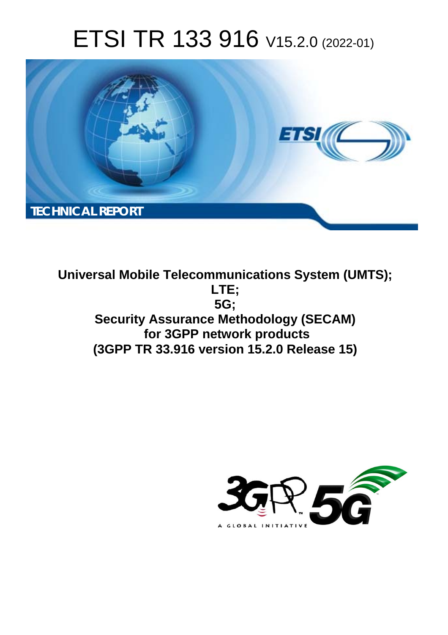# ETSI TR 133 916 V15.2.0 (2022-01)



**Universal Mobile Telecommunications System (UMTS); LTE; 5G; Security Assurance Methodology (SECAM) for 3GPP network products (3GPP TR 33.916 version 15.2.0 Release 15)** 

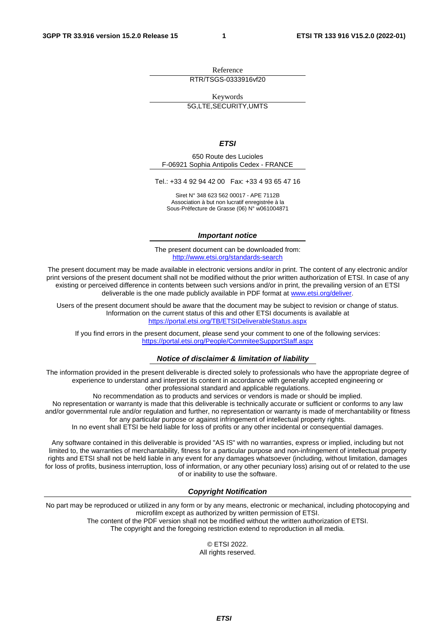Reference RTR/TSGS-0333916vf20

Keywords

5G,LTE,SECURITY,UMTS

*ETSI* 

650 Route des Lucioles F-06921 Sophia Antipolis Cedex - FRANCE

Tel.: +33 4 92 94 42 00 Fax: +33 4 93 65 47 16

Siret N° 348 623 562 00017 - APE 7112B Association à but non lucratif enregistrée à la Sous-Préfecture de Grasse (06) N° w061004871

#### *Important notice*

The present document can be downloaded from: <http://www.etsi.org/standards-search>

The present document may be made available in electronic versions and/or in print. The content of any electronic and/or print versions of the present document shall not be modified without the prior written authorization of ETSI. In case of any existing or perceived difference in contents between such versions and/or in print, the prevailing version of an ETSI deliverable is the one made publicly available in PDF format at [www.etsi.org/deliver](http://www.etsi.org/deliver).

Users of the present document should be aware that the document may be subject to revision or change of status. Information on the current status of this and other ETSI documents is available at <https://portal.etsi.org/TB/ETSIDeliverableStatus.aspx>

If you find errors in the present document, please send your comment to one of the following services: <https://portal.etsi.org/People/CommiteeSupportStaff.aspx>

#### *Notice of disclaimer & limitation of liability*

The information provided in the present deliverable is directed solely to professionals who have the appropriate degree of experience to understand and interpret its content in accordance with generally accepted engineering or other professional standard and applicable regulations.

No recommendation as to products and services or vendors is made or should be implied.

No representation or warranty is made that this deliverable is technically accurate or sufficient or conforms to any law and/or governmental rule and/or regulation and further, no representation or warranty is made of merchantability or fitness for any particular purpose or against infringement of intellectual property rights.

In no event shall ETSI be held liable for loss of profits or any other incidental or consequential damages.

Any software contained in this deliverable is provided "AS IS" with no warranties, express or implied, including but not limited to, the warranties of merchantability, fitness for a particular purpose and non-infringement of intellectual property rights and ETSI shall not be held liable in any event for any damages whatsoever (including, without limitation, damages for loss of profits, business interruption, loss of information, or any other pecuniary loss) arising out of or related to the use of or inability to use the software.

#### *Copyright Notification*

No part may be reproduced or utilized in any form or by any means, electronic or mechanical, including photocopying and microfilm except as authorized by written permission of ETSI. The content of the PDF version shall not be modified without the written authorization of ETSI.

The copyright and the foregoing restriction extend to reproduction in all media.

© ETSI 2022. All rights reserved.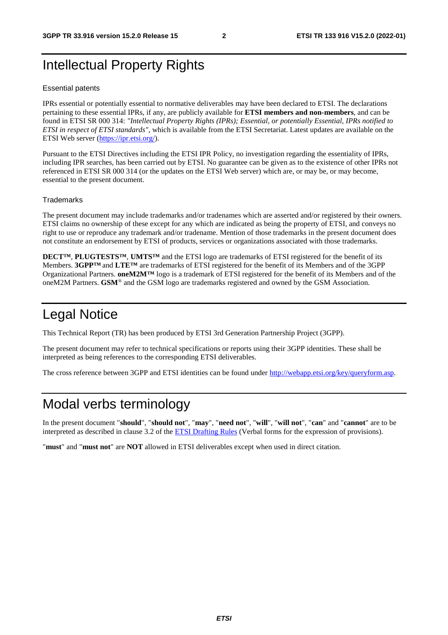# Intellectual Property Rights

#### Essential patents

IPRs essential or potentially essential to normative deliverables may have been declared to ETSI. The declarations pertaining to these essential IPRs, if any, are publicly available for **ETSI members and non-members**, and can be found in ETSI SR 000 314: *"Intellectual Property Rights (IPRs); Essential, or potentially Essential, IPRs notified to ETSI in respect of ETSI standards"*, which is available from the ETSI Secretariat. Latest updates are available on the ETSI Web server ([https://ipr.etsi.org/\)](https://ipr.etsi.org/).

Pursuant to the ETSI Directives including the ETSI IPR Policy, no investigation regarding the essentiality of IPRs, including IPR searches, has been carried out by ETSI. No guarantee can be given as to the existence of other IPRs not referenced in ETSI SR 000 314 (or the updates on the ETSI Web server) which are, or may be, or may become, essential to the present document.

#### **Trademarks**

The present document may include trademarks and/or tradenames which are asserted and/or registered by their owners. ETSI claims no ownership of these except for any which are indicated as being the property of ETSI, and conveys no right to use or reproduce any trademark and/or tradename. Mention of those trademarks in the present document does not constitute an endorsement by ETSI of products, services or organizations associated with those trademarks.

**DECT™**, **PLUGTESTS™**, **UMTS™** and the ETSI logo are trademarks of ETSI registered for the benefit of its Members. **3GPP™** and **LTE™** are trademarks of ETSI registered for the benefit of its Members and of the 3GPP Organizational Partners. **oneM2M™** logo is a trademark of ETSI registered for the benefit of its Members and of the oneM2M Partners. **GSM**® and the GSM logo are trademarks registered and owned by the GSM Association.

# Legal Notice

This Technical Report (TR) has been produced by ETSI 3rd Generation Partnership Project (3GPP).

The present document may refer to technical specifications or reports using their 3GPP identities. These shall be interpreted as being references to the corresponding ETSI deliverables.

The cross reference between 3GPP and ETSI identities can be found under<http://webapp.etsi.org/key/queryform.asp>.

# Modal verbs terminology

In the present document "**should**", "**should not**", "**may**", "**need not**", "**will**", "**will not**", "**can**" and "**cannot**" are to be interpreted as described in clause 3.2 of the [ETSI Drafting Rules](https://portal.etsi.org/Services/editHelp!/Howtostart/ETSIDraftingRules.aspx) (Verbal forms for the expression of provisions).

"**must**" and "**must not**" are **NOT** allowed in ETSI deliverables except when used in direct citation.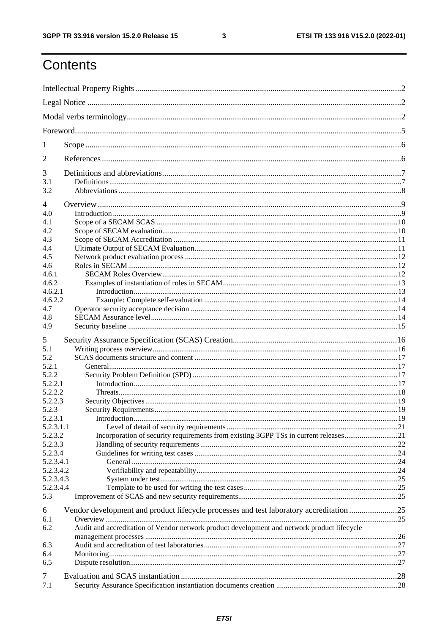$\mathbf{3}$ 

# Contents

| 1              |                                                                                             |  |  |  |  |
|----------------|---------------------------------------------------------------------------------------------|--|--|--|--|
| 2              |                                                                                             |  |  |  |  |
| 3              |                                                                                             |  |  |  |  |
| 3.1            |                                                                                             |  |  |  |  |
| 3.2            |                                                                                             |  |  |  |  |
| $\overline{4}$ |                                                                                             |  |  |  |  |
| 4.0            |                                                                                             |  |  |  |  |
| 4.1            |                                                                                             |  |  |  |  |
| 4.2            |                                                                                             |  |  |  |  |
| 4.3<br>4.4     |                                                                                             |  |  |  |  |
| 4.5            |                                                                                             |  |  |  |  |
| 4.6            |                                                                                             |  |  |  |  |
| 4.6.1          |                                                                                             |  |  |  |  |
| 4.6.2          |                                                                                             |  |  |  |  |
| 4.6.2.1        |                                                                                             |  |  |  |  |
| 4.6.2.2        |                                                                                             |  |  |  |  |
| 4.7            |                                                                                             |  |  |  |  |
| 4.8            |                                                                                             |  |  |  |  |
| 4.9            |                                                                                             |  |  |  |  |
|                |                                                                                             |  |  |  |  |
| 5              |                                                                                             |  |  |  |  |
| 5.1            |                                                                                             |  |  |  |  |
| 5.2            |                                                                                             |  |  |  |  |
| 5.2.1          |                                                                                             |  |  |  |  |
| 5.2.2          |                                                                                             |  |  |  |  |
| 5.2.2.1        |                                                                                             |  |  |  |  |
| 5.2.2.2        |                                                                                             |  |  |  |  |
| 5.2.2.3        |                                                                                             |  |  |  |  |
| 5.2.3          |                                                                                             |  |  |  |  |
| 5.2.3.1        |                                                                                             |  |  |  |  |
| 5.2.3.1.1      |                                                                                             |  |  |  |  |
| 5.2.3.2        | Incorporation of security requirements from existing 3GPP TSs in current releases21         |  |  |  |  |
| 5.2.3.3        |                                                                                             |  |  |  |  |
| 5.2.3.4        |                                                                                             |  |  |  |  |
| 5.2.3.4.1      |                                                                                             |  |  |  |  |
| 5.2.3.4.2      |                                                                                             |  |  |  |  |
| 5.2.3.4.3      |                                                                                             |  |  |  |  |
| 5.2.3.4.4      |                                                                                             |  |  |  |  |
| 5.3            |                                                                                             |  |  |  |  |
|                |                                                                                             |  |  |  |  |
| 6              | Vendor development and product lifecycle processes and test laboratory accreditation 25     |  |  |  |  |
| 6.1            |                                                                                             |  |  |  |  |
| 6.2            | Audit and accreditation of Vendor network product development and network product lifecycle |  |  |  |  |
|                |                                                                                             |  |  |  |  |
| 6.3            |                                                                                             |  |  |  |  |
| 6.4            |                                                                                             |  |  |  |  |
| 6.5            |                                                                                             |  |  |  |  |
| 7              |                                                                                             |  |  |  |  |
| 7.1            |                                                                                             |  |  |  |  |
|                |                                                                                             |  |  |  |  |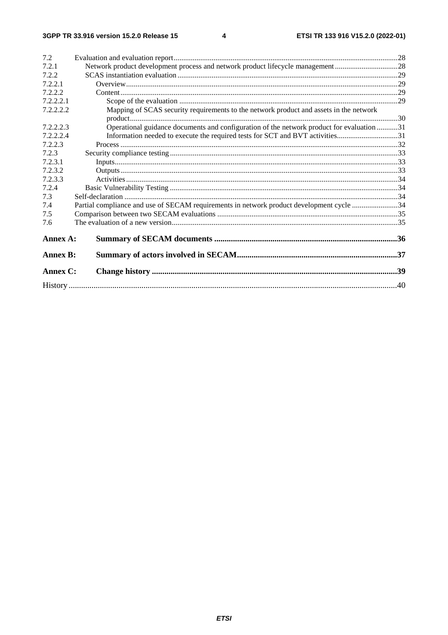$\overline{\mathbf{4}}$ 

| 7.2             |                                                                                          |  |  |  |  |
|-----------------|------------------------------------------------------------------------------------------|--|--|--|--|
| 7.2.1           | Network product development process and network product lifecycle management28           |  |  |  |  |
| 7.2.2           |                                                                                          |  |  |  |  |
| 7.2.2.1         |                                                                                          |  |  |  |  |
| 7.2.2.2         |                                                                                          |  |  |  |  |
| 7.2.2.2.1       |                                                                                          |  |  |  |  |
| 7.2.2.2.2       | Mapping of SCAS security requirements to the network product and assets in the network   |  |  |  |  |
|                 |                                                                                          |  |  |  |  |
| 7.2.2.2.3       | Operational guidance documents and configuration of the network product for evaluation31 |  |  |  |  |
| 7.2.2.2.4       | Information needed to execute the required tests for SCT and BVT activities31            |  |  |  |  |
| 7.2.2.3         |                                                                                          |  |  |  |  |
| 7.2.3           |                                                                                          |  |  |  |  |
| 7.2.3.1         |                                                                                          |  |  |  |  |
| 7.2.3.2         |                                                                                          |  |  |  |  |
| 7.2.3.3         |                                                                                          |  |  |  |  |
| 7.2.4           |                                                                                          |  |  |  |  |
| 7.3             |                                                                                          |  |  |  |  |
| 7.4             | Partial compliance and use of SECAM requirements in network product development cycle 34 |  |  |  |  |
| 7.5             |                                                                                          |  |  |  |  |
| 7.6             |                                                                                          |  |  |  |  |
| Annex A:        |                                                                                          |  |  |  |  |
| <b>Annex B:</b> |                                                                                          |  |  |  |  |
| Annex C:        |                                                                                          |  |  |  |  |
|                 |                                                                                          |  |  |  |  |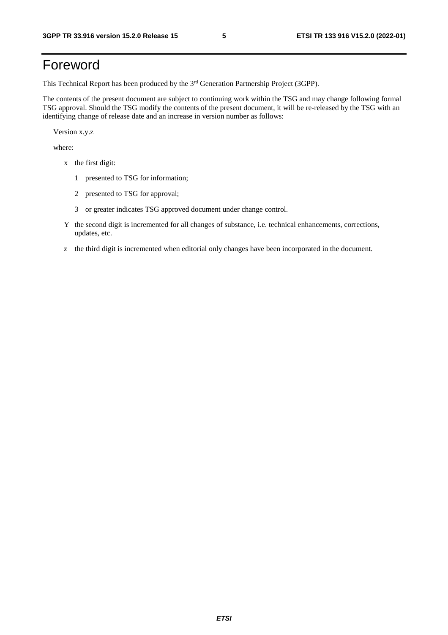# Foreword

This Technical Report has been produced by the 3<sup>rd</sup> Generation Partnership Project (3GPP).

The contents of the present document are subject to continuing work within the TSG and may change following formal TSG approval. Should the TSG modify the contents of the present document, it will be re-released by the TSG with an identifying change of release date and an increase in version number as follows:

Version x.y.z

where:

- x the first digit:
	- 1 presented to TSG for information;
	- 2 presented to TSG for approval;
	- 3 or greater indicates TSG approved document under change control.
- Y the second digit is incremented for all changes of substance, i.e. technical enhancements, corrections, updates, etc.
- z the third digit is incremented when editorial only changes have been incorporated in the document.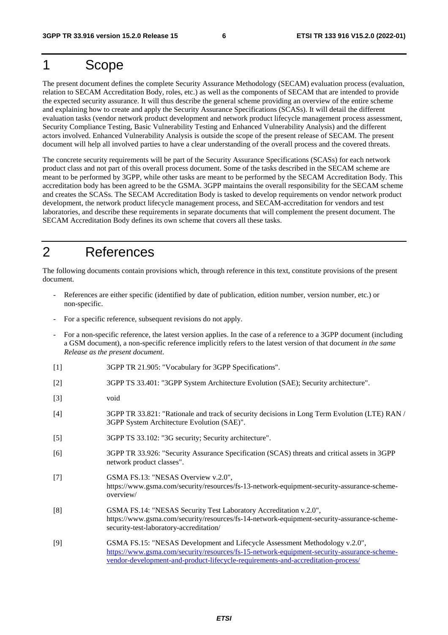# 1 Scope

The present document defines the complete Security Assurance Methodology (SECAM) evaluation process (evaluation, relation to SECAM Accreditation Body, roles, etc.) as well as the components of SECAM that are intended to provide the expected security assurance. It will thus describe the general scheme providing an overview of the entire scheme and explaining how to create and apply the Security Assurance Specifications (SCASs). It will detail the different evaluation tasks (vendor network product development and network product lifecycle management process assessment, Security Compliance Testing, Basic Vulnerability Testing and Enhanced Vulnerability Analysis) and the different actors involved. Enhanced Vulnerability Analysis is outside the scope of the present release of SECAM. The present document will help all involved parties to have a clear understanding of the overall process and the covered threats.

The concrete security requirements will be part of the Security Assurance Specifications (SCASs) for each network product class and not part of this overall process document. Some of the tasks described in the SECAM scheme are meant to be performed by 3GPP, while other tasks are meant to be performed by the SECAM Accreditation Body. This accreditation body has been agreed to be the GSMA. 3GPP maintains the overall responsibility for the SECAM scheme and creates the SCASs. The SECAM Accreditation Body is tasked to develop requirements on vendor network product development, the network product lifecycle management process, and SECAM-accreditation for vendors and test laboratories, and describe these requirements in separate documents that will complement the present document. The SECAM Accreditation Body defines its own scheme that covers all these tasks.

# 2 References

The following documents contain provisions which, through reference in this text, constitute provisions of the present document.

- References are either specific (identified by date of publication, edition number, version number, etc.) or non-specific.
- For a specific reference, subsequent revisions do not apply.
- For a non-specific reference, the latest version applies. In the case of a reference to a 3GPP document (including a GSM document), a non-specific reference implicitly refers to the latest version of that document *in the same Release as the present document*.
- [1] 3GPP TR 21.905: "Vocabulary for 3GPP Specifications".
- [2] 3GPP TS 33.401: "3GPP System Architecture Evolution (SAE); Security architecture".
- [3] void
- [4] 3GPP TR 33.821: "Rationale and track of security decisions in Long Term Evolution (LTE) RAN / 3GPP System Architecture Evolution (SAE)".
- [5] 3GPP TS 33.102: "3G security; Security architecture".
- [6] 3GPP TR 33.926: "Security Assurance Specification (SCAS) threats and critical assets in 3GPP network product classes".
- [7] GSMA FS.13: "NESAS Overview v.2.0", https://www.gsma.com/security/resources/fs-13-network-equipment-security-assurance-schemeoverview/
- [8] GSMA FS.14: "NESAS Security Test Laboratory Accreditation v.2.0", https://www.gsma.com/security/resources/fs-14-network-equipment-security-assurance-schemesecurity-test-laboratory-accreditation/
- [9] GSMA FS.15: "NESAS Development and Lifecycle Assessment Methodology v.2.0", [https://www.gsma.com/security/resources/fs-15-network-equipment-security-assurance-scheme](https://www.gsma.com/security/resources/fs-15-network-equipment-security-assurance-scheme-vendor-development-and-product-lifecycle-requirements-and-accreditation-process/)[vendor-development-and-product-lifecycle-requirements-and-accreditation-process/](https://www.gsma.com/security/resources/fs-15-network-equipment-security-assurance-scheme-vendor-development-and-product-lifecycle-requirements-and-accreditation-process/)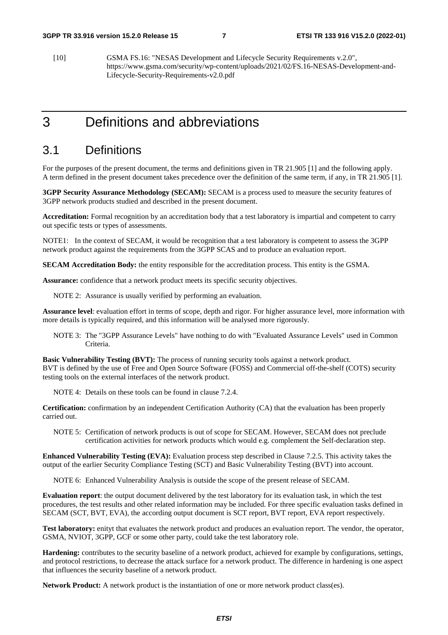[10] GSMA FS.16: "NESAS Development and Lifecycle Security Requirements v.2.0", https://www.gsma.com/security/wp-content/uploads/2021/02/FS.16-NESAS-Development-and-Lifecycle-Security-Requirements-v2.0.pdf

# 3 Definitions and abbreviations

### 3.1 Definitions

For the purposes of the present document, the terms and definitions given in TR 21.905 [1] and the following apply. A term defined in the present document takes precedence over the definition of the same term, if any, in TR 21.905 [1].

**3GPP Security Assurance Methodology (SECAM):** SECAM is a process used to measure the security features of 3GPP network products studied and described in the present document.

**Accreditation:** Formal recognition by an accreditation body that a test laboratory is impartial and competent to carry out specific tests or types of assessments.

NOTE1: In the context of SECAM, it would be recognition that a test laboratory is competent to assess the 3GPP network product against the requirements from the 3GPP SCAS and to produce an evaluation report.

**SECAM Accreditation Body:** the entity responsible for the accreditation process. This entity is the GSMA.

**Assurance:** confidence that a network product meets its specific security objectives.

NOTE 2: Assurance is usually verified by performing an evaluation.

**Assurance level**: evaluation effort in terms of scope, depth and rigor. For higher assurance level, more information with more details is typically required, and this information will be analysed more rigorously.

NOTE 3: The "3GPP Assurance Levels" have nothing to do with "Evaluated Assurance Levels" used in Common Criteria.

**Basic Vulnerability Testing (BVT):** The process of running security tools against a network product. BVT is defined by the use of Free and Open Source Software (FOSS) and Commercial off-the-shelf (COTS) security testing tools on the external interfaces of the network product.

NOTE 4: Details on these tools can be found in clause 7.2.4.

**Certification:** confirmation by an independent Certification Authority (CA) that the evaluation has been properly carried out.

NOTE 5: Certification of network products is out of scope for SECAM. However, SECAM does not preclude certification activities for network products which would e.g. complement the Self-declaration step.

**Enhanced Vulnerability Testing (EVA):** Evaluation process step described in Clause 7.2.5. This activity takes the output of the earlier Security Compliance Testing (SCT) and Basic Vulnerability Testing (BVT) into account.

NOTE 6: Enhanced Vulnerability Analysis is outside the scope of the present release of SECAM.

**Evaluation report**: the output document delivered by the test laboratory for its evaluation task, in which the test procedures, the test results and other related information may be included. For three specific evaluation tasks defined in SECAM (SCT, BVT, EVA), the according output document is SCT report, BVT report, EVA report respectively.

**Test laboratory:** enityt that evaluates the network product and produces an evaluation report. The vendor, the operator, GSMA, NVIOT, 3GPP, GCF or some other party, could take the test laboratory role.

**Hardening:** contributes to the security baseline of a network product, achieved for example by configurations, settings, and protocol restrictions, to decrease the attack surface for a network product. The difference in hardening is one aspect that influences the security baseline of a network product.

**Network Product:** A network product is the instantiation of one or more network product class(es).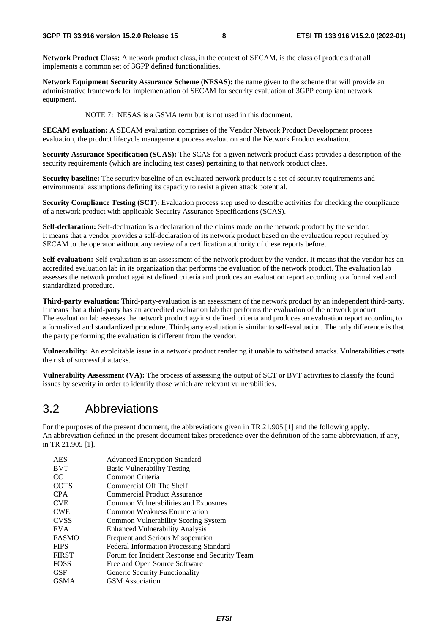**Network Product Class:** A network product class, in the context of SECAM, is the class of products that all implements a common set of 3GPP defined functionalities.

**Network Equipment Security Assurance Scheme (NESAS):** the name given to the scheme that will provide an administrative framework for implementation of SECAM for security evaluation of 3GPP compliant network equipment.

NOTE 7: NESAS is a GSMA term but is not used in this document.

**SECAM evaluation:** A SECAM evaluation comprises of the Vendor Network Product Development process evaluation, the product lifecycle management process evaluation and the Network Product evaluation.

**Security Assurance Specification (SCAS):** The SCAS for a given network product class provides a description of the security requirements (which are including test cases) pertaining to that network product class.

**Security baseline:** The security baseline of an evaluated network product is a set of security requirements and environmental assumptions defining its capacity to resist a given attack potential.

**Security Compliance Testing (SCT):** Evaluation process step used to describe activities for checking the compliance of a network product with applicable Security Assurance Specifications (SCAS).

**Self-declaration:** Self-declaration is a declaration of the claims made on the network product by the vendor. It means that a vendor provides a self-declaration of its network product based on the evaluation report required by SECAM to the operator without any review of a certification authority of these reports before.

**Self-evaluation:** Self-evaluation is an assessment of the network product by the vendor. It means that the vendor has an accredited evaluation lab in its organization that performs the evaluation of the network product. The evaluation lab assesses the network product against defined criteria and produces an evaluation report according to a formalized and standardized procedure.

**Third-party evaluation:** Third-party-evaluation is an assessment of the network product by an independent third-party. It means that a third-party has an accredited evaluation lab that performs the evaluation of the network product. The evaluation lab assesses the network product against defined criteria and produces an evaluation report according to a formalized and standardized procedure. Third-party evaluation is similar to self-evaluation. The only difference is that the party performing the evaluation is different from the vendor.

**Vulnerability:** An exploitable issue in a network product rendering it unable to withstand attacks. Vulnerabilities create the risk of successful attacks.

**Vulnerability Assessment (VA):** The process of assessing the output of SCT or BVT activities to classify the found issues by severity in order to identify those which are relevant vulnerabilities.

### 3.2 Abbreviations

For the purposes of the present document, the abbreviations given in TR 21.905 [1] and the following apply. An abbreviation defined in the present document takes precedence over the definition of the same abbreviation, if any, in TR 21.905 [1].

| <b>AES</b>   | <b>Advanced Encryption Standard</b>            |
|--------------|------------------------------------------------|
| <b>BVT</b>   | <b>Basic Vulnerability Testing</b>             |
| CC.          | Common Criteria                                |
| <b>COTS</b>  | Commercial Off The Shelf                       |
| <b>CPA</b>   | Commercial Product Assurance                   |
| <b>CVE</b>   | Common Vulnerabilities and Exposures           |
| <b>CWE</b>   | Common Weakness Enumeration                    |
| <b>CVSS</b>  | Common Vulnerability Scoring System            |
| <b>EVA</b>   | <b>Enhanced Vulnerability Analysis</b>         |
| <b>FASMO</b> | Frequent and Serious Misoperation              |
| <b>FIPS</b>  | <b>Federal Information Processing Standard</b> |
| <b>FIRST</b> | Forum for Incident Response and Security Team  |
| <b>FOSS</b>  | Free and Open Source Software                  |
| <b>GSF</b>   | Generic Security Functionality                 |
| <b>GSMA</b>  | <b>GSM</b> Association                         |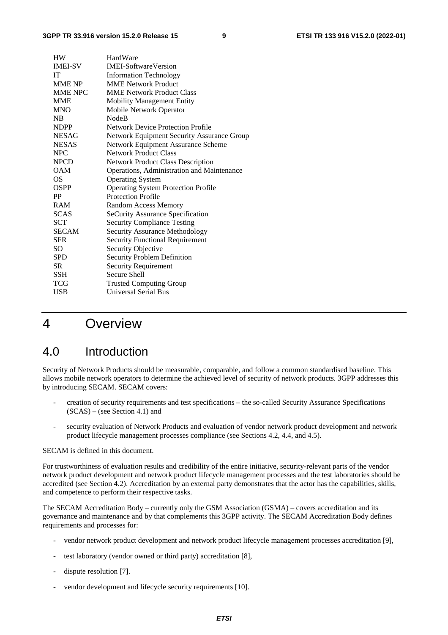| <b>HW</b>      | HardWare                                   |
|----------------|--------------------------------------------|
| <b>IMEI-SV</b> | <b>IMEI-SoftwareVersion</b>                |
| <b>IT</b>      | <b>Information Technology</b>              |
| <b>MME NP</b>  | <b>MME Network Product</b>                 |
| <b>MME NPC</b> | <b>MME Network Product Class</b>           |
| <b>MME</b>     | <b>Mobility Management Entity</b>          |
| <b>MNO</b>     | Mobile Network Operator                    |
| NB             | <b>NodeB</b>                               |
| <b>NDPP</b>    | <b>Network Device Protection Profile</b>   |
| NESAG          | Network Equipment Security Assurance Group |
| <b>NESAS</b>   | Network Equipment Assurance Scheme         |
| <b>NPC</b>     | <b>Network Product Class</b>               |
| <b>NPCD</b>    | <b>Network Product Class Description</b>   |
| <b>OAM</b>     | Operations, Administration and Maintenance |
| OS             | <b>Operating System</b>                    |
| OSPP           | <b>Operating System Protection Profile</b> |
| <b>PP</b>      | <b>Protection Profile</b>                  |
| <b>RAM</b>     | <b>Random Access Memory</b>                |
| <b>SCAS</b>    | <b>SeCurity Assurance Specification</b>    |
| SCT            | <b>Security Compliance Testing</b>         |
| <b>SECAM</b>   | <b>Security Assurance Methodology</b>      |
| <b>SFR</b>     | <b>Security Functional Requirement</b>     |
| SO             | Security Objective                         |
| <b>SPD</b>     | <b>Security Problem Definition</b>         |
| <b>SR</b>      | <b>Security Requirement</b>                |
| SSH            | Secure Shell                               |
| <b>TCG</b>     | <b>Trusted Computing Group</b>             |
| <b>USB</b>     | <b>Universal Serial Bus</b>                |

# 4 Overview

# 4.0 Introduction

Security of Network Products should be measurable, comparable, and follow a common standardised baseline. This allows mobile network operators to determine the achieved level of security of network products. 3GPP addresses this by introducing SECAM. SECAM covers:

- creation of security requirements and test specifications the so-called Security Assurance Specifications  $(SCAS)$  – (see Section 4.1) and
- security evaluation of Network Products and evaluation of vendor network product development and network product lifecycle management processes compliance (see Sections 4.2, 4.4, and 4.5).

#### SECAM is defined in this document.

For trustworthiness of evaluation results and credibility of the entire initiative, security-relevant parts of the vendor network product development and network product lifecycle management processes and the test laboratories should be accredited (see Section 4.2). Accreditation by an external party demonstrates that the actor has the capabilities, skills, and competence to perform their respective tasks.

The SECAM Accreditation Body – currently only the GSM Association (GSMA) – covers accreditation and its governance and maintenance and by that complements this 3GPP activity. The SECAM Accreditation Body defines requirements and processes for:

- vendor network product development and network product lifecycle management processes accreditation [9],
- test laboratory (vendor owned or third party) accreditation [8],
- dispute resolution [7].
- vendor development and lifecycle security requirements [10].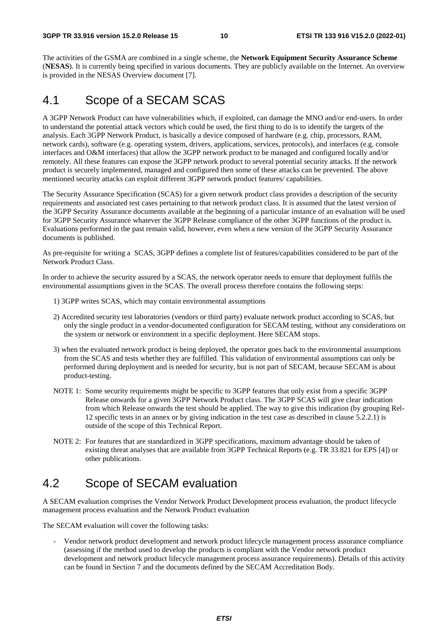The activities of the GSMA are combined in a single scheme, the **Network Equipment Security Assurance Scheme** (**NESAS**). It is currently being specified in various documents. They are publicly available on the Internet. An overview is provided in the NESAS Overview document [7].

# 4.1 Scope of a SECAM SCAS

A 3GPP Network Product can have vulnerabilities which, if exploited, can damage the MNO and/or end-users. In order to understand the potential attack vectors which could be used, the first thing to do is to identify the targets of the analysis. Each 3GPP Network Product, is basically a device composed of hardware (e.g. chip, processors, RAM, network cards), software (e.g. operating system, drivers, applications, services, protocols), and interfaces (e.g. console interfaces and O&M interfaces) that allow the 3GPP network product to be managed and configured locally and/or remotely. All these features can expose the 3GPP network product to several potential security attacks. If the network product is securely implemented, managed and configured then some of these attacks can be prevented. The above mentioned security attacks can exploit different 3GPP network product features/ capabilities.

The Security Assurance Specification (SCAS) for a given network product class provides a description of the security requirements and associated test cases pertaining to that network product class. It is assumed that the latest version of the 3GPP Security Assurance documents available at the beginning of a particular instance of an evaluation will be used for 3GPP Security Assurance whatever the 3GPP Release compliance of the other 3GPP functions of the product is. Evaluations performed in the past remain valid, however, even when a new version of the 3GPP Security Assurance documents is published.

As pre-requisite for writing a SCAS, 3GPP defines a complete list of features/capabilities considered to be part of the Network Product Class.

In order to achieve the security assured by a SCAS, the network operator needs to ensure that deployment fulfils the environmental assumptions given in the SCAS. The overall process therefore contains the following steps:

- 1) 3GPP writes SCAS, which may contain environmental assumptions
- 2) Accredited security test laboratories (vendors or third party) evaluate network product according to SCAS, but only the single product in a vendor-documented configuration for SECAM testing, without any considerations on the system or network or environment in a specific deployment. Here SECAM stops.
- 3) when the evaluated network product is being deployed, the operator goes back to the environmental assumptions from the SCAS and tests whether they are fulfilled. This validation of environmental assumptions can only be performed during deployment and is needed for security, but is not part of SECAM, because SECAM is about product-testing.
- NOTE 1: Some security requirements might be specific to 3GPP features that only exist from a specific 3GPP Release onwards for a given 3GPP Network Product class. The 3GPP SCAS will give clear indication from which Release onwards the test should be applied. The way to give this indication (by grouping Rel-12 specific tests in an annex or by giving indication in the test case as described in clause 5.2.2.1) is outside of the scope of this Technical Report.
- NOTE 2: For features that are standardized in 3GPP specifications, maximum advantage should be taken of existing threat analyses that are available from 3GPP Technical Reports (e.g. TR 33.821 for EPS [4]) or other publications.

# 4.2 Scope of SECAM evaluation

A SECAM evaluation comprises the Vendor Network Product Development process evaluation, the product lifecycle management process evaluation and the Network Product evaluation

The SECAM evaluation will cover the following tasks:

- Vendor network product development and network product lifecycle management process assurance compliance (assessing if the method used to develop the products is compliant with the Vendor network product development and network product lifecycle management process assurance requirements). Details of this activity can be found in Section 7 and the documents defined by the SECAM Accreditation Body.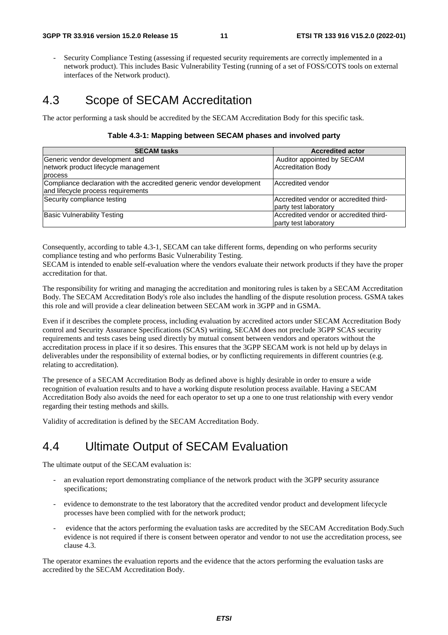Security Compliance Testing (assessing if requested security requirements are correctly implemented in a network product). This includes Basic Vulnerability Testing (running of a set of FOSS/COTS tools on external interfaces of the Network product).

# 4.3 Scope of SECAM Accreditation

The actor performing a task should be accredited by the SECAM Accreditation Body for this specific task.

#### **Table 4.3-1: Mapping between SECAM phases and involved party**

| <b>SECAM tasks</b>                                                    | <b>Accredited actor</b>                |
|-----------------------------------------------------------------------|----------------------------------------|
| Generic vendor development and                                        | Auditor appointed by SECAM             |
| network product lifecycle management                                  | <b>Accreditation Body</b>              |
| process                                                               |                                        |
| Compliance declaration with the accredited generic vendor development | Accredited vendor                      |
| and lifecycle process requirements                                    |                                        |
| Security compliance testing                                           | Accredited vendor or accredited third- |
|                                                                       | party test laboratory                  |
| <b>Basic Vulnerability Testing</b>                                    | Accredited vendor or accredited third- |
|                                                                       | party test laboratory                  |

Consequently, according to table 4.3-1, SECAM can take different forms, depending on who performs security compliance testing and who performs Basic Vulnerability Testing.

SECAM is intended to enable self-evaluation where the vendors evaluate their network products if they have the proper accreditation for that.

The responsibility for writing and managing the accreditation and monitoring rules is taken by a SECAM Accreditation Body. The SECAM Accreditation Body's role also includes the handling of the dispute resolution process. GSMA takes this role and will provide a clear delineation between SECAM work in 3GPP and in GSMA.

Even if it describes the complete process, including evaluation by accredited actors under SECAM Accreditation Body control and Security Assurance Specifications (SCAS) writing, SECAM does not preclude 3GPP SCAS security requirements and tests cases being used directly by mutual consent between vendors and operators without the accreditation process in place if it so desires. This ensures that the 3GPP SECAM work is not held up by delays in deliverables under the responsibility of external bodies, or by conflicting requirements in different countries (e.g. relating to accreditation).

The presence of a SECAM Accreditation Body as defined above is highly desirable in order to ensure a wide recognition of evaluation results and to have a working dispute resolution process available. Having a SECAM Accreditation Body also avoids the need for each operator to set up a one to one trust relationship with every vendor regarding their testing methods and skills.

Validity of accreditation is defined by the SECAM Accreditation Body.

# 4.4 Ultimate Output of SECAM Evaluation

The ultimate output of the SECAM evaluation is:

- an evaluation report demonstrating compliance of the network product with the 3GPP security assurance specifications;
- evidence to demonstrate to the test laboratory that the accredited vendor product and development lifecycle processes have been complied with for the network product;
- evidence that the actors performing the evaluation tasks are accredited by the SECAM Accreditation Body.Such evidence is not required if there is consent between operator and vendor to not use the accreditation process, see clause 4.3.

The operator examines the evaluation reports and the evidence that the actors performing the evaluation tasks are accredited by the SECAM Accreditation Body.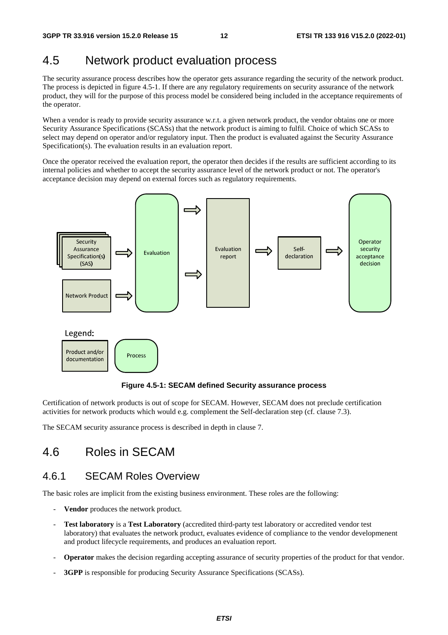# 4.5 Network product evaluation process

The security assurance process describes how the operator gets assurance regarding the security of the network product. The process is depicted in figure 4.5-1. If there are any regulatory requirements on security assurance of the network product, they will for the purpose of this process model be considered being included in the acceptance requirements of the operator.

When a vendor is ready to provide security assurance w.r.t. a given network product, the vendor obtains one or more Security Assurance Specifications (SCASs) that the network product is aiming to fulfil. Choice of which SCASs to select may depend on operator and/or regulatory input. Then the product is evaluated against the Security Assurance Specification(s). The evaluation results in an evaluation report.

Once the operator received the evaluation report, the operator then decides if the results are sufficient according to its internal policies and whether to accept the security assurance level of the network product or not. The operator's acceptance decision may depend on external forces such as regulatory requirements.



**Figure 4.5-1: SECAM defined Security assurance process** 

Certification of network products is out of scope for SECAM. However, SECAM does not preclude certification activities for network products which would e.g. complement the Self-declaration step (cf. clause 7.3).

The SECAM security assurance process is described in depth in clause 7.

# 4.6 Roles in SECAM

### 4.6.1 SECAM Roles Overview

The basic roles are implicit from the existing business environment. These roles are the following:

- **Vendor** produces the network product.
- **Test laboratory** is a **Test Laboratory** (accredited third-party test laboratory or accredited vendor test laboratory) that evaluates the network product, evaluates evidence of compliance to the vendor developmenent and product lifecycle requirements, and produces an evaluation report.
- **Operator** makes the decision regarding accepting assurance of security properties of the product for that vendor.
- **3GPP** is responsible for producing Security Assurance Specifications (SCASs).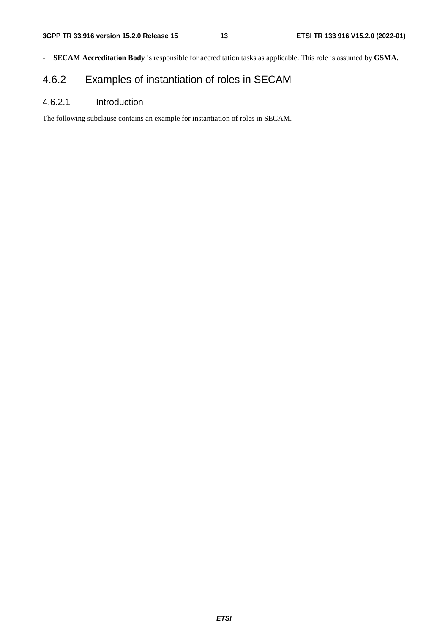- **SECAM Accreditation Body** is responsible for accreditation tasks as applicable. This role is assumed by **GSMA.**

# 4.6.2 Examples of instantiation of roles in SECAM

### 4.6.2.1 Introduction

The following subclause contains an example for instantiation of roles in SECAM.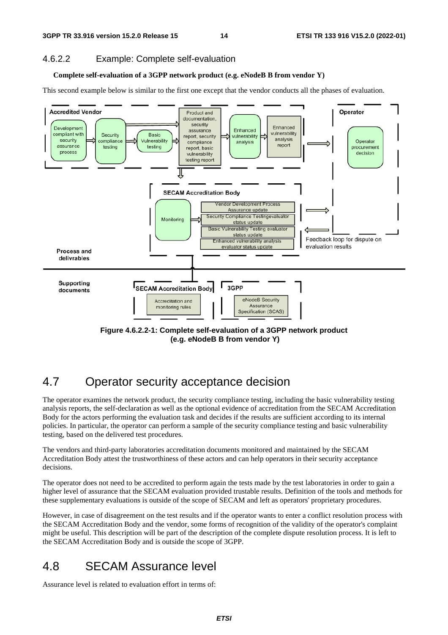### 4.6.2.2 Example: Complete self-evaluation

#### **Complete self-evaluation of a 3GPP network product (e.g. eNodeB B from vendor Y)**

This second example below is similar to the first one except that the vendor conducts all the phases of evaluation.



 **(e.g. eNodeB B from vendor Y)** 

# 4.7 Operator security acceptance decision

The operator examines the network product, the security compliance testing, including the basic vulnerability testing analysis reports, the self-declaration as well as the optional evidence of accreditation from the SECAM Accreditation Body for the actors performing the evaluation task and decides if the results are sufficient according to its internal policies. In particular, the operator can perform a sample of the security compliance testing and basic vulnerability testing, based on the delivered test procedures.

The vendors and third-party laboratories accreditation documents monitored and maintained by the SECAM Accreditation Body attest the trustworthiness of these actors and can help operators in their security acceptance decisions.

The operator does not need to be accredited to perform again the tests made by the test laboratories in order to gain a higher level of assurance that the SECAM evaluation provided trustable results. Definition of the tools and methods for these supplementary evaluations is outside of the scope of SECAM and left as operators' proprietary procedures.

However, in case of disagreement on the test results and if the operator wants to enter a conflict resolution process with the SECAM Accreditation Body and the vendor, some forms of recognition of the validity of the operator's complaint might be useful. This description will be part of the description of the complete dispute resolution process. It is left to the SECAM Accreditation Body and is outside the scope of 3GPP.

# 4.8 SECAM Assurance level

Assurance level is related to evaluation effort in terms of: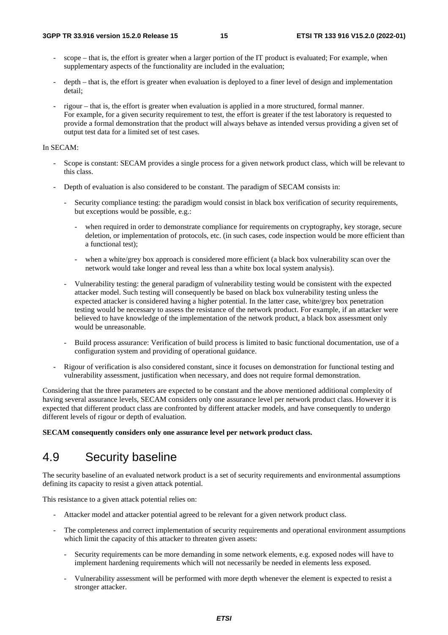- scope that is, the effort is greater when a larger portion of the IT product is evaluated; For example, when supplementary aspects of the functionality are included in the evaluation;
- depth that is, the effort is greater when evaluation is deployed to a finer level of design and implementation detail;
- rigour that is, the effort is greater when evaluation is applied in a more structured, formal manner. For example, for a given security requirement to test, the effort is greater if the test laboratory is requested to provide a formal demonstration that the product will always behave as intended versus providing a given set of output test data for a limited set of test cases.

#### In SECAM:

- Scope is constant: SECAM provides a single process for a given network product class, which will be relevant to this class.
- Depth of evaluation is also considered to be constant. The paradigm of SECAM consists in:
	- Security compliance testing: the paradigm would consist in black box verification of security requirements, but exceptions would be possible, e.g.:
		- when required in order to demonstrate compliance for requirements on cryptography, key storage, secure deletion, or implementation of protocols, etc. (in such cases, code inspection would be more efficient than a functional test);
		- when a white/grey box approach is considered more efficient (a black box vulnerability scan over the network would take longer and reveal less than a white box local system analysis).
	- Vulnerability testing: the general paradigm of vulnerability testing would be consistent with the expected attacker model. Such testing will consequently be based on black box vulnerability testing unless the expected attacker is considered having a higher potential. In the latter case, white/grey box penetration testing would be necessary to assess the resistance of the network product. For example, if an attacker were believed to have knowledge of the implementation of the network product, a black box assessment only would be unreasonable.
	- Build process assurance: Verification of build process is limited to basic functional documentation, use of a configuration system and providing of operational guidance.
- Rigour of verification is also considered constant, since it focuses on demonstration for functional testing and vulnerability assessment, justification when necessary, and does not require formal demonstration.

Considering that the three parameters are expected to be constant and the above mentioned additional complexity of having several assurance levels, SECAM considers only one assurance level per network product class. However it is expected that different product class are confronted by different attacker models, and have consequently to undergo different levels of rigour or depth of evaluation.

**SECAM consequently considers only one assurance level per network product class.** 

# 4.9 Security baseline

The security baseline of an evaluated network product is a set of security requirements and environmental assumptions defining its capacity to resist a given attack potential.

This resistance to a given attack potential relies on:

- Attacker model and attacker potential agreed to be relevant for a given network product class.
- The completeness and correct implementation of security requirements and operational environment assumptions which limit the capacity of this attacker to threaten given assets:
	- Security requirements can be more demanding in some network elements, e.g. exposed nodes will have to implement hardening requirements which will not necessarily be needed in elements less exposed.
	- Vulnerability assessment will be performed with more depth whenever the element is expected to resist a stronger attacker.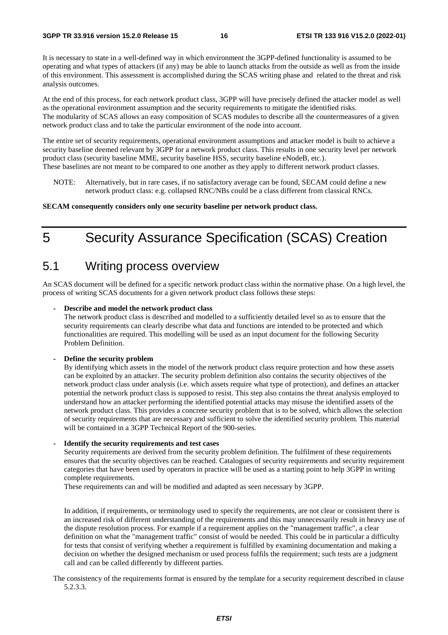It is necessary to state in a well-defined way in which environment the 3GPP-defined functionality is assumed to be operating and what types of attackers (if any) may be able to launch attacks from the outside as well as from the inside of this environment. This assessment is accomplished during the SCAS writing phase and related to the threat and risk analysis outcomes.

At the end of this process, for each network product class, 3GPP will have precisely defined the attacker model as well as the operational environment assumption and the security requirements to mitigate the identified risks. The modularity of SCAS allows an easy composition of SCAS modules to describe all the countermeasures of a given network product class and to take the particular environment of the node into account.

The entire set of security requirements, operational environment assumptions and attacker model is built to achieve a security baseline deemed relevant by 3GPP for a network product class. This results in one security level per network product class (security baseline MME, security baseline HSS, security baseline eNodeB, etc.).

- These baselines are not meant to be compared to one another as they apply to different network product classes.
	- NOTE: Alternatively, but in rare cases, if no satisfactory average can be found, SECAM could define a new network product class: e.g. collapsed RNC/NBs could be a class different from classical RNCs.

#### **SECAM consequently considers only one security baseline per network product class.**

# 5 Security Assurance Specification (SCAS) Creation

### 5.1 Writing process overview

An SCAS document will be defined for a specific network product class within the normative phase. On a high level, the process of writing SCAS documents for a given network product class follows these steps:

#### **- Describe and model the network product class**

The network product class is described and modelled to a sufficiently detailed level so as to ensure that the security requirements can clearly describe what data and functions are intended to be protected and which functionalities are required. This modelling will be used as an input document for the following Security Problem Definition.

#### **- Define the security problem**

By identifying which assets in the model of the network product class require protection and how these assets can be exploited by an attacker. The security problem definition also contains the security objectives of the network product class under analysis (i.e. which assets require what type of protection), and defines an attacker potential the network product class is supposed to resist. This step also contains the threat analysis employed to understand how an attacker performing the identified potential attacks may misuse the identified assets of the network product class. This provides a concrete security problem that is to be solved, which allows the selection of security requirements that are necessary and sufficient to solve the identified security problem. This material will be contained in a 3GPP Technical Report of the 900-series.

#### **- Identify the security requirements and test cases**

Security requirements are derived from the security problem definition. The fulfilment of these requirements ensures that the security objectives can be reached. Catalogues of security requirements and security requirement categories that have been used by operators in practice will be used as a starting point to help 3GPP in writing complete requirements.

These requirements can and will be modified and adapted as seen necessary by 3GPP.

In addition, if requirements, or terminology used to specify the requirements, are not clear or consistent there is an increased risk of different understanding of the requirements and this may unnecessarily result in heavy use of the dispute resolution process. For example if a requirement applies on the "management traffic", a clear definition on what the "management traffic" consist of would be needed. This could be in particular a difficulty for tests that consist of verifying whether a requirement is fulfilled by examining documentation and making a decision on whether the designed mechanism or used process fulfils the requirement; such tests are a judgment call and can be called differently by different parties.

The consistency of the requirements format is ensured by the template for a security requirement described in clause 5.2.3.3.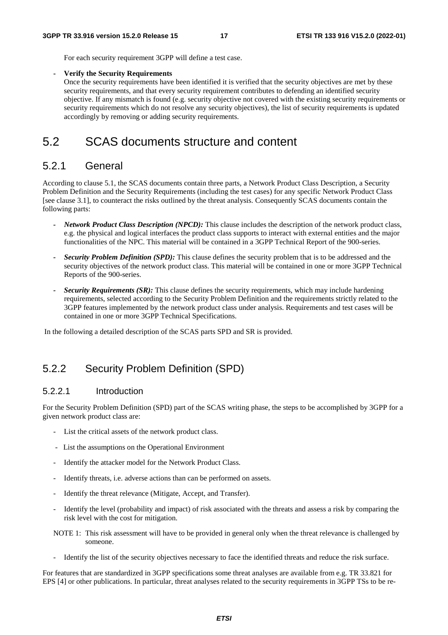For each security requirement 3GPP will define a test case.

#### **- Verify the Security Requirements**

Once the security requirements have been identified it is verified that the security objectives are met by these security requirements, and that every security requirement contributes to defending an identified security objective. If any mismatch is found (e.g. security objective not covered with the existing security requirements or security requirements which do not resolve any security objectives), the list of security requirements is updated accordingly by removing or adding security requirements.

# 5.2 SCAS documents structure and content

### 5.2.1 General

According to clause 5.1, the SCAS documents contain three parts, a Network Product Class Description, a Security Problem Definition and the Security Requirements (including the test cases) for any specific Network Product Class [see clause 3.1], to counteract the risks outlined by the threat analysis. Consequently SCAS documents contain the following parts:

- *Network Product Class Description (NPCD):* This clause includes the description of the network product class, e.g. the physical and logical interfaces the product class supports to interact with external entities and the major functionalities of the NPC. This material will be contained in a 3GPP Technical Report of the 900-series.
- *Security Problem Definition (SPD):* This clause defines the security problem that is to be addressed and the security objectives of the network product class. This material will be contained in one or more 3GPP Technical Reports of the 900-series.
- *Security Requirements (SR):* This clause defines the security requirements, which may include hardening requirements, selected according to the Security Problem Definition and the requirements strictly related to the 3GPP features implemented by the network product class under analysis. Requirements and test cases will be contained in one or more 3GPP Technical Specifications.

In the following a detailed description of the SCAS parts SPD and SR is provided.

### 5.2.2 Security Problem Definition (SPD)

#### 5.2.2.1 Introduction

For the Security Problem Definition (SPD) part of the SCAS writing phase, the steps to be accomplished by 3GPP for a given network product class are:

- List the critical assets of the network product class.
- List the assumptions on the Operational Environment
- Identify the attacker model for the Network Product Class.
- Identify threats, i.e. adverse actions than can be performed on assets.
- Identify the threat relevance (Mitigate, Accept, and Transfer).
- Identify the level (probability and impact) of risk associated with the threats and assess a risk by comparing the risk level with the cost for mitigation.
- NOTE 1: This risk assessment will have to be provided in general only when the threat relevance is challenged by someone.
- Identify the list of the security objectives necessary to face the identified threats and reduce the risk surface.

For features that are standardized in 3GPP specifications some threat analyses are available from e.g. TR 33.821 for EPS [4] or other publications. In particular, threat analyses related to the security requirements in 3GPP TSs to be re-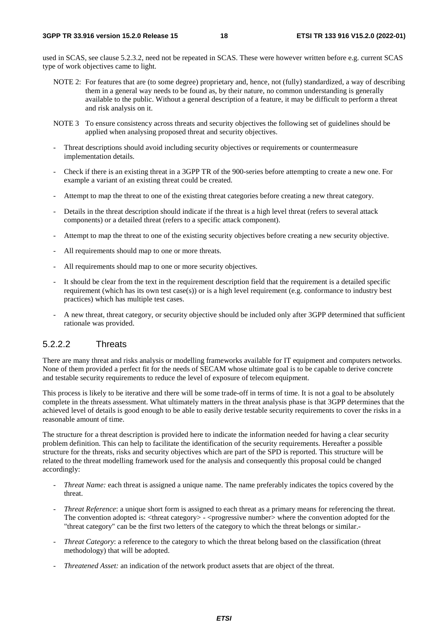used in SCAS, see clause 5.2.3.2, need not be repeated in SCAS. These were however written before e.g. current SCAS type of work objectives came to light.

- NOTE 2: For features that are (to some degree) proprietary and, hence, not (fully) standardized, a way of describing them in a general way needs to be found as, by their nature, no common understanding is generally available to the public. Without a general description of a feature, it may be difficult to perform a threat and risk analysis on it.
- NOTE 3 To ensure consistency across threats and security objectives the following set of guidelines should be applied when analysing proposed threat and security objectives.
- Threat descriptions should avoid including security objectives or requirements or countermeasure implementation details.
- Check if there is an existing threat in a 3GPP TR of the 900-series before attempting to create a new one. For example a variant of an existing threat could be created.
- Attempt to map the threat to one of the existing threat categories before creating a new threat category.
- Details in the threat description should indicate if the threat is a high level threat (refers to several attack components) or a detailed threat (refers to a specific attack component).
- Attempt to map the threat to one of the existing security objectives before creating a new security objective.
- All requirements should map to one or more threats.
- All requirements should map to one or more security objectives.
- It should be clear from the text in the requirement description field that the requirement is a detailed specific requirement (which has its own test case(s)) or is a high level requirement (e.g. conformance to industry best practices) which has multiple test cases.
- A new threat, threat category, or security objective should be included only after 3GPP determined that sufficient rationale was provided.

#### 5.2.2.2 Threats

There are many threat and risks analysis or modelling frameworks available for IT equipment and computers networks. None of them provided a perfect fit for the needs of SECAM whose ultimate goal is to be capable to derive concrete and testable security requirements to reduce the level of exposure of telecom equipment.

This process is likely to be iterative and there will be some trade-off in terms of time. It is not a goal to be absolutely complete in the threats assessment. What ultimately matters in the threat analysis phase is that 3GPP determines that the achieved level of details is good enough to be able to easily derive testable security requirements to cover the risks in a reasonable amount of time.

The structure for a threat description is provided here to indicate the information needed for having a clear security problem definition. This can help to facilitate the identification of the security requirements. Hereafter a possible structure for the threats, risks and security objectives which are part of the SPD is reported. This structure will be related to the threat modelling framework used for the analysis and consequently this proposal could be changed accordingly:

- *Threat Name:* each threat is assigned a unique name. The name preferably indicates the topics covered by the threat.
- *Threat Reference*: a unique short form is assigned to each threat as a primary means for referencing the threat. The convention adopted is: <threat category> - <progressive number> where the convention adopted for the "threat category" can be the first two letters of the category to which the threat belongs or similar.*-*
- *Threat Category*: a reference to the category to which the threat belong based on the classification (threat methodology) that will be adopted.
- *Threatened Asset:* an indication of the network product assets that are object of the threat.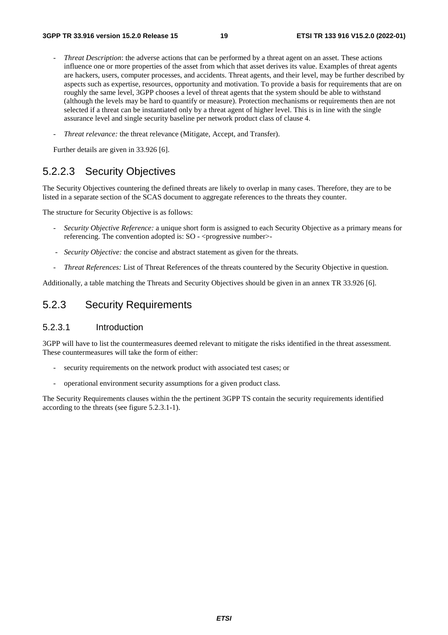- *Threat Description*: the adverse actions that can be performed by a threat agent on an asset. These actions influence one or more properties of the asset from which that asset derives its value. Examples of threat agents are hackers, users, computer processes, and accidents. Threat agents, and their level, may be further described by aspects such as expertise, resources, opportunity and motivation. To provide a basis for requirements that are on roughly the same level, 3GPP chooses a level of threat agents that the system should be able to withstand (although the levels may be hard to quantify or measure). Protection mechanisms or requirements then are not selected if a threat can be instantiated only by a threat agent of higher level. This is in line with the single assurance level and single security baseline per network product class of clause 4.
- *Threat relevance:* the threat relevance (Mitigate, Accept, and Transfer).

Further details are given in 33.926 [6].

### 5.2.2.3 Security Objectives

The Security Objectives countering the defined threats are likely to overlap in many cases. Therefore, they are to be listed in a separate section of the SCAS document to aggregate references to the threats they counter.

The structure for Security Objective is as follows:

- *Security Objective Reference:* a unique short form is assigned to each Security Objective as a primary means for referencing. The convention adopted is: SO - <progressive number>
- *Security Objective:* the concise and abstract statement as given for the threats.
- *Threat References:* List of Threat References of the threats countered by the Security Objective in question.

Additionally, a table matching the Threats and Security Objectives should be given in an annex TR 33.926 [6].

### 5.2.3 Security Requirements

#### 5.2.3.1 Introduction

3GPP will have to list the countermeasures deemed relevant to mitigate the risks identified in the threat assessment. These countermeasures will take the form of either:

- security requirements on the network product with associated test cases; or
- operational environment security assumptions for a given product class.

The Security Requirements clauses within the the pertinent 3GPP TS contain the security requirements identified according to the threats (see figure 5.2.3.1-1).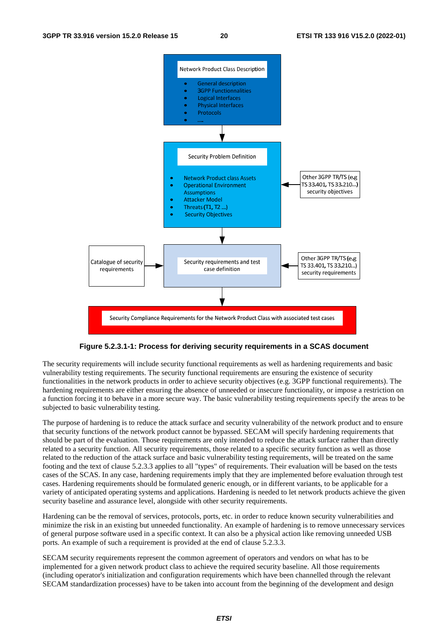

#### **Figure 5.2.3.1-1: Process for deriving security requirements in a SCAS document**

The security requirements will include security functional requirements as well as hardening requirements and basic vulnerability testing requirements. The security functional requirements are ensuring the existence of security functionalities in the network products in order to achieve security objectives (e.g. 3GPP functional requirements). The hardening requirements are either ensuring the absence of unneeded or insecure functionality, or impose a restriction on a function forcing it to behave in a more secure way. The basic vulnerability testing requirements specify the areas to be subjected to basic vulnerability testing.

The purpose of hardening is to reduce the attack surface and security vulnerability of the network product and to ensure that security functions of the network product cannot be bypassed. SECAM will specify hardening requirements that should be part of the evaluation. Those requirements are only intended to reduce the attack surface rather than directly related to a security function. All security requirements, those related to a specific security function as well as those related to the reduction of the attack surface and basic vulnerability testing requirements, will be treated on the same footing and the text of clause 5.2.3.3 applies to all "types" of requirements. Their evaluation will be based on the tests cases of the SCAS. In any case, hardening requirements imply that they are implemented before evaluation through test cases. Hardening requirements should be formulated generic enough, or in different variants, to be applicable for a variety of anticipated operating systems and applications. Hardening is needed to let network products achieve the given security baseline and assurance level, alongside with other security requirements.

Hardening can be the removal of services, protocols, ports, etc. in order to reduce known security vulnerabilities and minimize the risk in an existing but unneeded functionality. An example of hardening is to remove unnecessary services of general purpose software used in a specific context. It can also be a physical action like removing unneeded USB ports. An example of such a requirement is provided at the end of clause 5.2.3.3.

SECAM security requirements represent the common agreement of operators and vendors on what has to be implemented for a given network product class to achieve the required security baseline. All those requirements (including operator's initialization and configuration requirements which have been channelled through the relevant SECAM standardization processes) have to be taken into account from the beginning of the development and design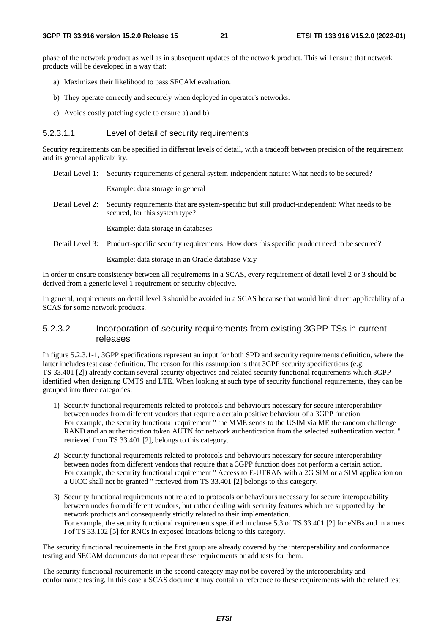phase of the network product as well as in subsequent updates of the network product. This will ensure that network products will be developed in a way that:

- a) Maximizes their likelihood to pass SECAM evaluation.
- b) They operate correctly and securely when deployed in operator's networks.
- c) Avoids costly patching cycle to ensure a) and b).

#### 5.2.3.1.1 Level of detail of security requirements

Security requirements can be specified in different levels of detail, with a tradeoff between precision of the requirement and its general applicability.

Detail Level 1: Security requirements of general system-independent nature: What needs to be secured?

Example: data storage in general

Detail Level 2: Security requirements that are system-specific but still product-independent: What needs to be secured, for this system type?

Example: data storage in databases

Detail Level 3: Product-specific security requirements: How does this specific product need to be secured?

Example: data storage in an Oracle database Vx.y

In order to ensure consistency between all requirements in a SCAS, every requirement of detail level 2 or 3 should be derived from a generic level 1 requirement or security objective.

In general, requirements on detail level 3 should be avoided in a SCAS because that would limit direct applicability of a SCAS for some network products.

#### 5.2.3.2 Incorporation of security requirements from existing 3GPP TSs in current releases

In figure 5.2.3.1-1, 3GPP specifications represent an input for both SPD and security requirements definition, where the latter includes test case definition. The reason for this assumption is that 3GPP security specifications (e.g. TS 33.401 [2]) already contain several security objectives and related security functional requirements which 3GPP identified when designing UMTS and LTE. When looking at such type of security functional requirements, they can be grouped into three categories:

- 1) Security functional requirements related to protocols and behaviours necessary for secure interoperability between nodes from different vendors that require a certain positive behaviour of a 3GPP function. For example, the security functional requirement " the MME sends to the USIM via ME the random challenge RAND and an authentication token AUTN for network authentication from the selected authentication vector. " retrieved from TS 33.401 [2], belongs to this category.
- 2) Security functional requirements related to protocols and behaviours necessary for secure interoperability between nodes from different vendors that require that a 3GPP function does not perform a certain action. For example, the security functional requirement " Access to E-UTRAN with a 2G SIM or a SIM application on a UICC shall not be granted " retrieved from TS 33.401 [2] belongs to this category.
- 3) Security functional requirements not related to protocols or behaviours necessary for secure interoperability between nodes from different vendors, but rather dealing with security features which are supported by the network products and consequently strictly related to their implementation. For example, the security functional requirements specified in clause 5.3 of TS 33.401 [2] for eNBs and in annex I of TS 33.102 [5] for RNCs in exposed locations belong to this category.

The security functional requirements in the first group are already covered by the interoperability and conformance testing and SECAM documents do not repeat these requirements or add tests for them.

The security functional requirements in the second category may not be covered by the interoperability and conformance testing. In this case a SCAS document may contain a reference to these requirements with the related test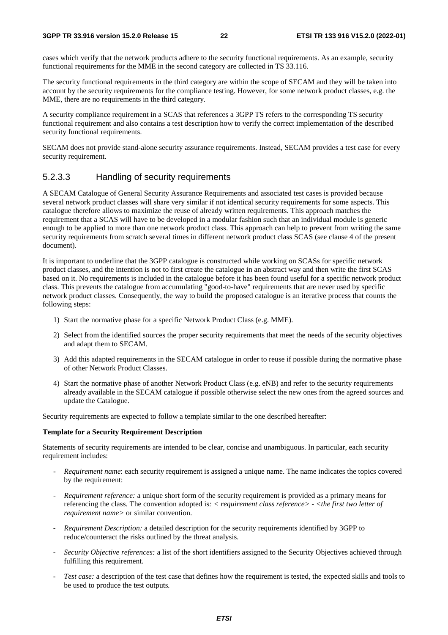cases which verify that the network products adhere to the security functional requirements. As an example, security functional requirements for the MME in the second category are collected in TS 33.116.

The security functional requirements in the third category are within the scope of SECAM and they will be taken into account by the security requirements for the compliance testing. However, for some network product classes, e.g. the MME, there are no requirements in the third category.

A security compliance requirement in a SCAS that references a 3GPP TS refers to the corresponding TS security functional requirement and also contains a test description how to verify the correct implementation of the described security functional requirements.

SECAM does not provide stand-alone security assurance requirements. Instead, SECAM provides a test case for every security requirement.

### 5.2.3.3 Handling of security requirements

A SECAM Catalogue of General Security Assurance Requirements and associated test cases is provided because several network product classes will share very similar if not identical security requirements for some aspects. This catalogue therefore allows to maximize the reuse of already written requirements. This approach matches the requirement that a SCAS will have to be developed in a modular fashion such that an individual module is generic enough to be applied to more than one network product class. This approach can help to prevent from writing the same security requirements from scratch several times in different network product class SCAS (see clause 4 of the present document).

It is important to underline that the 3GPP catalogue is constructed while working on SCASs for specific network product classes, and the intention is not to first create the catalogue in an abstract way and then write the first SCAS based on it. No requirements is included in the catalogue before it has been found useful for a specific network product class. This prevents the catalogue from accumulating "good-to-have" requirements that are never used by specific network product classes. Consequently, the way to build the proposed catalogue is an iterative process that counts the following steps:

- 1) Start the normative phase for a specific Network Product Class (e.g. MME).
- 2) Select from the identified sources the proper security requirements that meet the needs of the security objectives and adapt them to SECAM.
- 3) Add this adapted requirements in the SECAM catalogue in order to reuse if possible during the normative phase of other Network Product Classes.
- 4) Start the normative phase of another Network Product Class (e.g. eNB) and refer to the security requirements already available in the SECAM catalogue if possible otherwise select the new ones from the agreed sources and update the Catalogue.

Security requirements are expected to follow a template similar to the one described hereafter:

#### **Template for a Security Requirement Description**

Statements of security requirements are intended to be clear, concise and unambiguous. In particular, each security requirement includes:

- *Requirement name:* each security requirement is assigned a unique name. The name indicates the topics covered by the requirement:
- *Requirement reference:* a unique short form of the security requirement is provided as a primary means for referencing the class. The convention adopted is*: < requirement class reference> - <the first two letter of requirement name>* or similar convention.
- *Requirement Description:* a detailed description for the security requirements identified by 3GPP to reduce/counteract the risks outlined by the threat analysis.
- *Security Objective references:* a list of the short identifiers assigned to the Security Objectives achieved through fulfilling this requirement.
- *Test case:* a description of the test case that defines how the requirement is tested, the expected skills and tools to be used to produce the test outputs*.*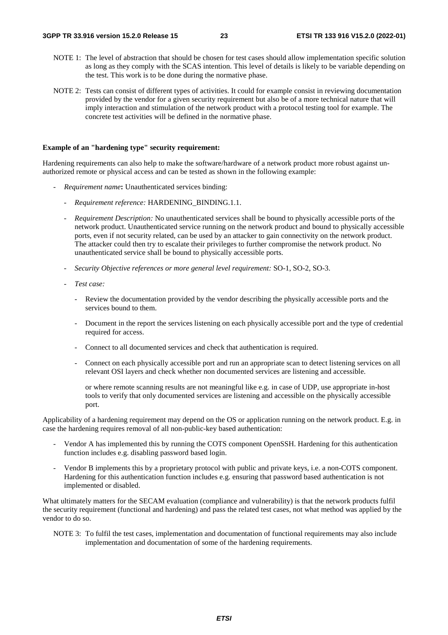- NOTE 1: The level of abstraction that should be chosen for test cases should allow implementation specific solution as long as they comply with the SCAS intention. This level of details is likely to be variable depending on the test. This work is to be done during the normative phase.
- NOTE 2: Tests can consist of different types of activities. It could for example consist in reviewing documentation provided by the vendor for a given security requirement but also be of a more technical nature that will imply interaction and stimulation of the network product with a protocol testing tool for example. The concrete test activities will be defined in the normative phase.

#### **Example of an "hardening type" security requirement:**

Hardening requirements can also help to make the software/hardware of a network product more robust against unauthorized remote or physical access and can be tested as shown in the following example:

- *Requirement name***:** Unauthenticated services binding:
	- *Requirement reference:* HARDENING BINDING.1.1.
	- *Requirement Description:* No unauthenticated services shall be bound to physically accessible ports of the network product. Unauthenticated service running on the network product and bound to physically accessible ports, even if not security related, can be used by an attacker to gain connectivity on the network product. The attacker could then try to escalate their privileges to further compromise the network product. No unauthenticated service shall be bound to physically accessible ports.
	- *Security Objective references or more general level requirement:* SO-1, SO-2, SO-3.
	- *Test case:* 
		- Review the documentation provided by the vendor describing the physically accessible ports and the services bound to them.
		- Document in the report the services listening on each physically accessible port and the type of credential required for access.
		- Connect to all documented services and check that authentication is required.
		- Connect on each physically accessible port and run an appropriate scan to detect listening services on all relevant OSI layers and check whether non documented services are listening and accessible.

 or where remote scanning results are not meaningful like e.g. in case of UDP, use appropriate in-host tools to verify that only documented services are listening and accessible on the physically accessible port.

Applicability of a hardening requirement may depend on the OS or application running on the network product. E.g. in case the hardening requires removal of all non-public-key based authentication:

- Vendor A has implemented this by running the COTS component OpenSSH. Hardening for this authentication function includes e.g. disabling password based login.
- Vendor B implements this by a proprietary protocol with public and private keys, i.e. a non-COTS component. Hardening for this authentication function includes e.g. ensuring that password based authentication is not implemented or disabled.

What ultimately matters for the SECAM evaluation (compliance and vulnerability) is that the network products fulfil the security requirement (functional and hardening) and pass the related test cases, not what method was applied by the vendor to do so.

NOTE 3: To fulfil the test cases, implementation and documentation of functional requirements may also include implementation and documentation of some of the hardening requirements.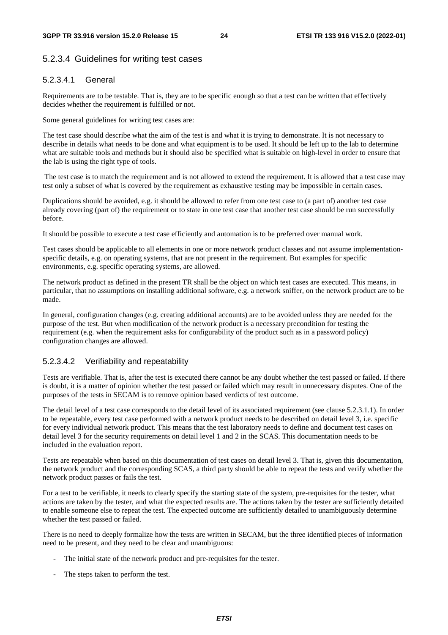### 5.2.3.4 Guidelines for writing test cases

#### 5.2.3.4.1 General

Requirements are to be testable. That is, they are to be specific enough so that a test can be written that effectively decides whether the requirement is fulfilled or not.

Some general guidelines for writing test cases are:

The test case should describe what the aim of the test is and what it is trying to demonstrate. It is not necessary to describe in details what needs to be done and what equipment is to be used. It should be left up to the lab to determine what are suitable tools and methods but it should also be specified what is suitable on high-level in order to ensure that the lab is using the right type of tools.

 The test case is to match the requirement and is not allowed to extend the requirement. It is allowed that a test case may test only a subset of what is covered by the requirement as exhaustive testing may be impossible in certain cases.

Duplications should be avoided, e.g. it should be allowed to refer from one test case to (a part of) another test case already covering (part of) the requirement or to state in one test case that another test case should be run successfully before.

It should be possible to execute a test case efficiently and automation is to be preferred over manual work.

Test cases should be applicable to all elements in one or more network product classes and not assume implementationspecific details, e.g. on operating systems, that are not present in the requirement. But examples for specific environments, e.g. specific operating systems, are allowed.

The network product as defined in the present TR shall be the object on which test cases are executed. This means, in particular, that no assumptions on installing additional software, e.g. a network sniffer, on the network product are to be made.

In general, configuration changes (e.g. creating additional accounts) are to be avoided unless they are needed for the purpose of the test. But when modification of the network product is a necessary precondition for testing the requirement (e.g. when the requirement asks for configurability of the product such as in a password policy) configuration changes are allowed.

### 5.2.3.4.2 Verifiability and repeatability

Tests are verifiable. That is, after the test is executed there cannot be any doubt whether the test passed or failed. If there is doubt, it is a matter of opinion whether the test passed or failed which may result in unnecessary disputes. One of the purposes of the tests in SECAM is to remove opinion based verdicts of test outcome.

The detail level of a test case corresponds to the detail level of its associated requirement (see clause 5.2.3.1.1). In order to be repeatable, every test case performed with a network product needs to be described on detail level 3, i.e. specific for every individual network product. This means that the test laboratory needs to define and document test cases on detail level 3 for the security requirements on detail level 1 and 2 in the SCAS. This documentation needs to be included in the evaluation report.

Tests are repeatable when based on this documentation of test cases on detail level 3. That is, given this documentation, the network product and the corresponding SCAS, a third party should be able to repeat the tests and verify whether the network product passes or fails the test.

For a test to be verifiable, it needs to clearly specify the starting state of the system, pre-requisites for the tester, what actions are taken by the tester, and what the expected results are. The actions taken by the tester are sufficiently detailed to enable someone else to repeat the test. The expected outcome are sufficiently detailed to unambiguously determine whether the test passed or failed.

There is no need to deeply formalize how the tests are written in SECAM, but the three identified pieces of information need to be present, and they need to be clear and unambiguous:

- The initial state of the network product and pre-requisites for the tester.
- The steps taken to perform the test.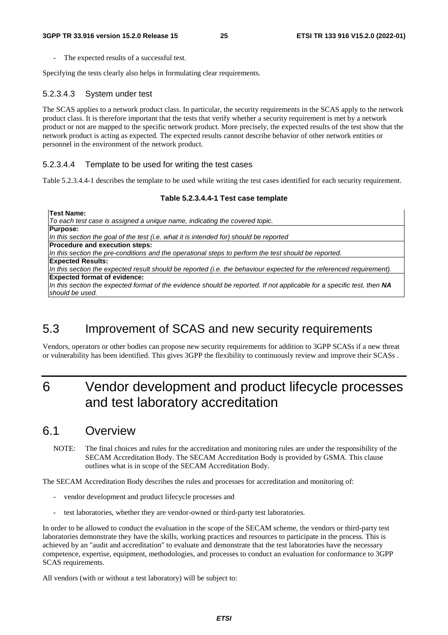The expected results of a successful test.

Specifying the tests clearly also helps in formulating clear requirements.

#### 5.2.3.4.3 System under test

The SCAS applies to a network product class. In particular, the security requirements in the SCAS apply to the network product class. It is therefore important that the tests that verify whether a security requirement is met by a network product or not are mapped to the specific network product. More precisely, the expected results of the test show that the network product is acting as expected. The expected results cannot describe behavior of other network entities or personnel in the environment of the network product.

#### 5.2.3.4.4 Template to be used for writing the test cases

Table 5.2.3.4.4-1 describes the template to be used while writing the test cases identified for each security requirement.

#### **Table 5.2.3.4.4-1 Test case template**

**Test Name:**  *To each test case is assigned a unique name, indicating the covered topic.* **Purpose:** *In this section the goal of the test (i.e. what it is intended for) should be reported*  **Procedure and execution steps:** *In this section the pre-conditions and the operational steps to perform the test should be reported.*  **Expected Results:** *In this section the expected result should be reported (i.e. the behaviour expected for the referenced requirement).* **Expected format of evidence:** *In this section the expected format of the evidence should be reported. If not applicable for a specific test, then NA should be used.* 

# 5.3 Improvement of SCAS and new security requirements

Vendors, operators or other bodies can propose new security requirements for addition to 3GPP SCASs if a new threat or vulnerability has been identified. This gives 3GPP the flexibility to continuously review and improve their SCASs .

# 6 Vendor development and product lifecycle processes and test laboratory accreditation

### 6.1 Overview

NOTE: The final choices and rules for the accreditation and monitoring rules are under the responsibility of the SECAM Accreditation Body. The SECAM Accreditation Body is provided by GSMA. This clause outlines what is in scope of the SECAM Accreditation Body.

The SECAM Accreditation Body describes the rules and processes for accreditation and monitoring of:

- vendor development and product lifecycle processes and
- test laboratories, whether they are vendor-owned or third-party test laboratories.

In order to be allowed to conduct the evaluation in the scope of the SECAM scheme, the vendors or third-party test laboratories demonstrate they have the skills, working practices and resources to participate in the process. This is achieved by an "audit and accreditation" to evaluate and demonstrate that the test laboratories have the necessary competence, expertise, equipment, methodologies, and processes to conduct an evaluation for conformance to 3GPP SCAS requirements.

All vendors (with or without a test laboratory) will be subject to: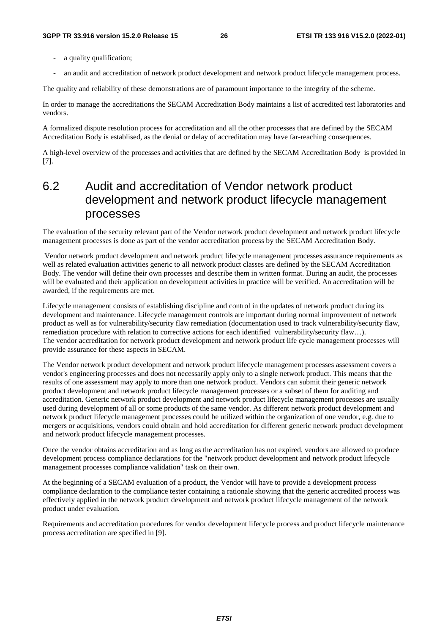- a quality qualification;
- an audit and accreditation of network product development and network product lifecycle management process.

The quality and reliability of these demonstrations are of paramount importance to the integrity of the scheme.

In order to manage the accreditations the SECAM Accreditation Body maintains a list of accredited test laboratories and vendors.

A formalized dispute resolution process for accreditation and all the other processes that are defined by the SECAM Accreditation Body is establised, as the denial or delay of accreditation may have far-reaching consequences.

A high-level overview of the processes and activities that are defined by the SECAM Accreditation Body is provided in [7].

# 6.2 Audit and accreditation of Vendor network product development and network product lifecycle management processes

The evaluation of the security relevant part of the Vendor network product development and network product lifecycle management processes is done as part of the vendor accreditation process by the SECAM Accreditation Body.

 Vendor network product development and network product lifecycle management processes assurance requirements as well as related evaluation activities generic to all network product classes are defined by the SECAM Accreditation Body. The vendor will define their own processes and describe them in written format. During an audit, the processes will be evaluated and their application on development activities in practice will be verified. An accreditation will be awarded, if the requirements are met.

Lifecycle management consists of establishing discipline and control in the updates of network product during its development and maintenance. Lifecycle management controls are important during normal improvement of network product as well as for vulnerability/security flaw remediation (documentation used to track vulnerability/security flaw, remediation procedure with relation to corrective actions for each identified vulnerability/security flaw...). The vendor accreditation for network product development and network product life cycle management processes will provide assurance for these aspects in SECAM.

The Vendor network product development and network product lifecycle management processes assessment covers a vendor's engineering processes and does not necessarily apply only to a single network product. This means that the results of one assessment may apply to more than one network product. Vendors can submit their generic network product development and network product lifecycle management processes or a subset of them for auditing and accreditation. Generic network product development and network product lifecycle management processes are usually used during development of all or some products of the same vendor. As different network product development and network product lifecycle management processes could be utilized within the organization of one vendor, e.g. due to mergers or acquisitions, vendors could obtain and hold accreditation for different generic network product development and network product lifecycle management processes.

Once the vendor obtains accreditation and as long as the accreditation has not expired, vendors are allowed to produce development process compliance declarations for the "network product development and network product lifecycle management processes compliance validation" task on their own.

At the beginning of a SECAM evaluation of a product, the Vendor will have to provide a development process compliance declaration to the compliance tester containing a rationale showing that the generic accredited process was effectively applied in the network product development and network product lifecycle management of the network product under evaluation.

Requirements and accreditation procedures for vendor development lifecycle process and product lifecycle maintenance process accreditation are specified in [9].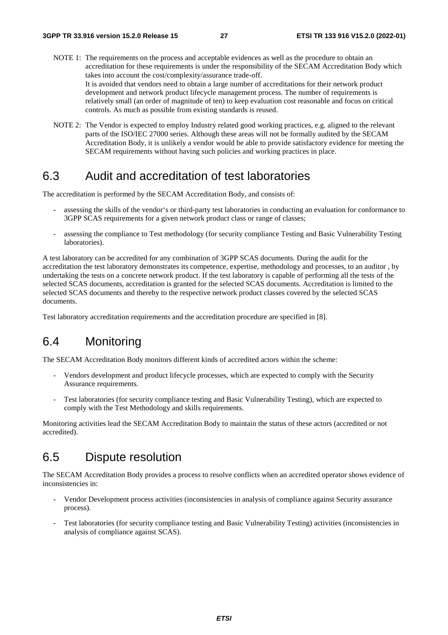- NOTE 1: The requirements on the process and acceptable evidences as well as the procedure to obtain an accreditation for these requirements is under the responsibility of the SECAM Accreditation Body which takes into account the cost/complexity/assurance trade-off. It is avoided that vendors need to obtain a large number of accreditations for their network product development and network product lifecycle management process. The number of requirements is relatively small (an order of magnitude of ten) to keep evaluation cost reasonable and focus on critical controls. As much as possible from existing standards is reused.
- NOTE 2: The Vendor is expected to employ Industry related good working practices, e.g. aligned to the relevant parts of the ISO/IEC 27000 series. Although these areas will not be formally audited by the SECAM Accreditation Body, it is unlikely a vendor would be able to provide satisfactory evidence for meeting the SECAM requirements without having such policies and working practices in place.

## 6.3 Audit and accreditation of test laboratories

The accreditation is performed by the SECAM Accreditation Body, and consists of:

- assessing the skills of the vendor's or third-party test laboratories in conducting an evaluation for conformance to 3GPP SCAS requirements for a given network product class or range of classes;
- assessing the compliance to Test methodology (for security compliance Testing and Basic Vulnerability Testing laboratories).

A test laboratory can be accredited for any combination of 3GPP SCAS documents. During the audit for the accreditation the test laboratory demonstrates its competence, expertise, methodology and processes, to an auditor , by undertaking the tests on a concrete network product. If the test laboratory is capable of performing all the tests of the selected SCAS documents, accreditation is granted for the selected SCAS documents. Accreditation is limited to the selected SCAS documents and thereby to the respective network product classes covered by the selected SCAS documents.

Test laboratory accreditation requirements and the accreditation procedure are specified in [8].

# 6.4 Monitoring

The SECAM Accreditation Body monitors different kinds of accredited actors within the scheme:

- Vendors development and product lifecycle processes, which are expected to comply with the Security Assurance requirements.
- Test laboratories (for security compliance testing and Basic Vulnerability Testing), which are expected to comply with the Test Methodology and skills requirements.

Monitoring activities lead the SECAM Accreditation Body to maintain the status of these actors (accredited or not accredited).

# 6.5 Dispute resolution

The SECAM Accreditation Body provides a process to resolve conflicts when an accredited operator shows evidence of inconsistencies in:

- Vendor Development process activities (inconsistencies in analysis of compliance against Security assurance process).
- Test laboratories (for security compliance testing and Basic Vulnerability Testing) activities (inconsistencies in analysis of compliance against SCAS).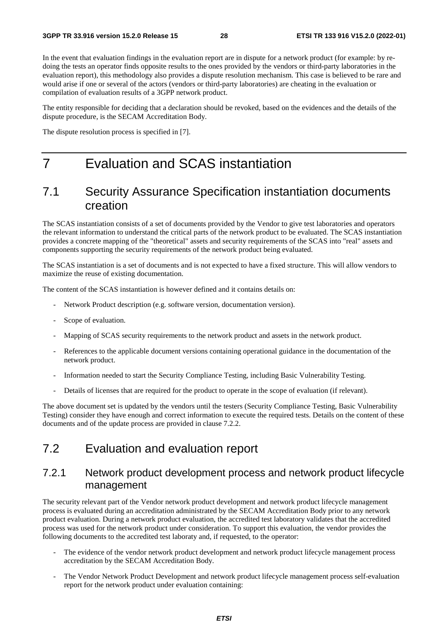In the event that evaluation findings in the evaluation report are in dispute for a network product (for example: by redoing the tests an operator finds opposite results to the ones provided by the vendors or third-party laboratories in the evaluation report), this methodology also provides a dispute resolution mechanism. This case is believed to be rare and would arise if one or several of the actors (vendors or third-party laboratories) are cheating in the evaluation or compilation of evaluation results of a 3GPP network product.

The entity responsible for deciding that a declaration should be revoked, based on the evidences and the details of the dispute procedure, is the SECAM Accreditation Body.

The dispute resolution process is specified in [7].

# 7 Evaluation and SCAS instantiation

### 7.1 Security Assurance Specification instantiation documents creation

The SCAS instantiation consists of a set of documents provided by the Vendor to give test laboratories and operators the relevant information to understand the critical parts of the network product to be evaluated. The SCAS instantiation provides a concrete mapping of the "theoretical" assets and security requirements of the SCAS into "real" assets and components supporting the security requirements of the network product being evaluated.

The SCAS instantiation is a set of documents and is not expected to have a fixed structure. This will allow vendors to maximize the reuse of existing documentation.

The content of the SCAS instantiation is however defined and it contains details on:

- Network Product description (e.g. software version, documentation version).
- Scope of evaluation.
- Mapping of SCAS security requirements to the network product and assets in the network product.
- References to the applicable document versions containing operational guidance in the documentation of the network product.
- Information needed to start the Security Compliance Testing, including Basic Vulnerability Testing.
- Details of licenses that are required for the product to operate in the scope of evaluation (if relevant).

The above document set is updated by the vendors until the testers (Security Compliance Testing, Basic Vulnerability Testing) consider they have enough and correct information to execute the required tests. Details on the content of these documents and of the update process are provided in clause 7.2.2.

# 7.2 Evaluation and evaluation report

### 7.2.1 Network product development process and network product lifecycle management

The security relevant part of the Vendor network product development and network product lifecycle management process is evaluated during an accreditation administrated by the SECAM Accreditation Body prior to any network product evaluation. During a network product evaluation, the accredited test laboratory validates that the accredited process was used for the network product under consideration. To support this evaluation, the vendor provides the following documents to the accredited test laboraty and, if requested, to the operator:

- The evidence of the vendor network product development and network product lifecycle management process accreditation by the SECAM Accreditation Body.
- The Vendor Network Product Development and network product lifecycle management process self-evaluation report for the network product under evaluation containing: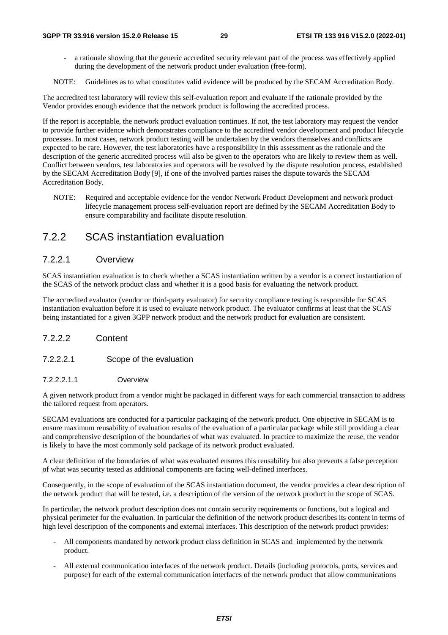a rationale showing that the generic accredited security relevant part of the process was effectively applied during the development of the network product under evaluation (free-form).

NOTE: Guidelines as to what constitutes valid evidence will be produced by the SECAM Accreditation Body.

The accredited test laboratory will review this self-evaluation report and evaluate if the rationale provided by the Vendor provides enough evidence that the network product is following the accredited process.

If the report is acceptable, the network product evaluation continues. If not, the test laboratory may request the vendor to provide further evidence which demonstrates compliance to the accredited vendor development and product lifecycle processes. In most cases, network product testing will be undertaken by the vendors themselves and conflicts are expected to be rare. However, the test laboratories have a responsibility in this assessment as the rationale and the description of the generic accredited process will also be given to the operators who are likely to review them as well. Conflict between vendors, test laboratories and operators will be resolved by the dispute resolution process, established by the SECAM Accreditation Body [9], if one of the involved parties raises the dispute towards the SECAM Accreditation Body.

NOTE: Required and acceptable evidence for the vendor Network Product Development and network product lifecycle management process self-evaluation report are defined by the SECAM Accreditation Body to ensure comparability and facilitate dispute resolution.

### 7.2.2 SCAS instantiation evaluation

#### 7.2.2.1 Overview

SCAS instantiation evaluation is to check whether a SCAS instantiation written by a vendor is a correct instantiation of the SCAS of the network product class and whether it is a good basis for evaluating the network product.

The accredited evaluator (vendor or third-party evaluator) for security compliance testing is responsible for SCAS instantiation evaluation before it is used to evaluate network product. The evaluator confirms at least that the SCAS being instantiated for a given 3GPP network product and the network product for evaluation are consistent.

#### 7.2.2.2 Content

#### 7.2.2.2.1 Scope of the evaluation

#### 7.2.2.2.1.1 Overview

A given network product from a vendor might be packaged in different ways for each commercial transaction to address the tailored request from operators.

SECAM evaluations are conducted for a particular packaging of the network product. One objective in SECAM is to ensure maximum reusability of evaluation results of the evaluation of a particular package while still providing a clear and comprehensive description of the boundaries of what was evaluated. In practice to maximize the reuse, the vendor is likely to have the most commonly sold package of its network product evaluated.

A clear definition of the boundaries of what was evaluated ensures this reusability but also prevents a false perception of what was security tested as additional components are facing well-defined interfaces.

Consequently, in the scope of evaluation of the SCAS instantiation document, the vendor provides a clear description of the network product that will be tested, i.e. a description of the version of the network product in the scope of SCAS.

In particular, the network product description does not contain security requirements or functions, but a logical and physical perimeter for the evaluation. In particular the definition of the network product describes its content in terms of high level description of the components and external interfaces. This description of the network product provides:

- All components mandated by network product class definition in SCAS and implemented by the network product.
- All external communication interfaces of the network product. Details (including protocols, ports, services and purpose) for each of the external communication interfaces of the network product that allow communications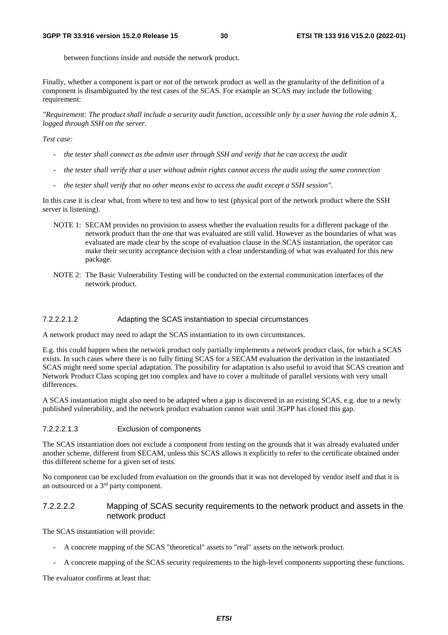between functions inside and outside the network product.

Finally, whether a component is part or not of the network product as well as the granularity of the definition of a component is disambiguated by the test cases of the SCAS. For example an SCAS may include the following requirement:

*"Requirement: The product shall include a security audit function, accessible only by a user having the role admin X, logged through SSH on the server.* 

#### *Test case:*

- *the tester shall connect as the admin user through SSH and verify that he can access the audit*
- *the tester shall verify that a user without admin rights cannot access the audit using the same connection*
- *the tester shall verify that no other means exist to access the audit except a SSH session".*

In this case it is clear what, from where to test and how to test (physical port of the network product where the SSH server is listening).

- NOTE 1: SECAM provides no provision to assess whether the evaluation results for a different package of the network product than the one that was evaluated are still valid. However as the boundaries of what was evaluated are made clear by the scope of evaluation clause in the SCAS instantiation, the operator can make their security acceptance decision with a clear understanding of what was evaluated for this new package.
- NOTE 2: The Basic Vulnerability Testing will be conducted on the external communication interfaces of the network product.

#### 7.2.2.2.1.2 Adapting the SCAS instantiation to special circumstances

A network product may need to adapt the SCAS instantiation to its own circumstances.

E.g. this could happen when the network product only partially implements a network product class, for which a SCAS exists. In such cases where there is no fully fitting SCAS for a SECAM evaluation the derivation in the instantiated SCAS might need some special adaptation. The possibility for adaptation is also useful to avoid that SCAS creation and Network Product Class scoping get too complex and have to cover a multitude of parallel versions with very small differences.

A SCAS instantiation might also need to be adapted when a gap is discovered in an existing SCAS, e.g. due to a newly published vulnerability, and the network product evaluation cannot wait until 3GPP has closed this gap.

#### 7.2.2.2.1.3 Exclusion of components

The SCAS instantiation does not exclude a component from testing on the grounds that it was already evaluated under another scheme, different from SECAM, unless this SCAS allows it explicitly to refer to the certificate obtained under this different scheme for a given set of tests.

No component can be excluded from evaluation on the grounds that it was not developed by vendor itself and that it is an outsourced or a 3rd party component.

#### 7.2.2.2.2 Mapping of SCAS security requirements to the network product and assets in the network product

The SCAS instantiation will provide:

- A concrete mapping of the SCAS "theoretical" assets to "real" assets on the network product.
- A concrete mapping of the SCAS security requirements to the high-level components supporting these functions.

The evaluator confirms at least that: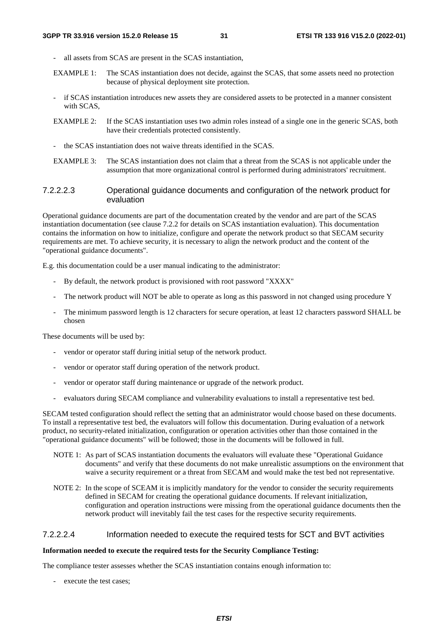- all assets from SCAS are present in the SCAS instantiation,
- EXAMPLE 1: The SCAS instantiation does not decide, against the SCAS, that some assets need no protection because of physical deployment site protection.
- if SCAS instantiation introduces new assets they are considered assets to be protected in a manner consistent with SCAS,
- EXAMPLE 2: If the SCAS instantiation uses two admin roles instead of a single one in the generic SCAS, both have their credentials protected consistently.
- the SCAS instantiation does not waive threats identified in the SCAS.
- EXAMPLE 3: The SCAS instantiation does not claim that a threat from the SCAS is not applicable under the assumption that more organizational control is performed during administrators' recruitment.

#### 7.2.2.2.3 Operational guidance documents and configuration of the network product for evaluation

Operational guidance documents are part of the documentation created by the vendor and are part of the SCAS instantiation documentation (see clause 7.2.2 for details on SCAS instantiation evaluation). This documentation contains the information on how to initialize, configure and operate the network product so that SECAM security requirements are met. To achieve security, it is necessary to align the network product and the content of the "operational guidance documents".

E.g. this documentation could be a user manual indicating to the administrator:

- By default, the network product is provisioned with root password "XXXX"
- The network product will NOT be able to operate as long as this password in not changed using procedure Y
- The minimum password length is 12 characters for secure operation, at least 12 characters password SHALL be chosen

These documents will be used by:

- vendor or operator staff during initial setup of the network product.
- vendor or operator staff during operation of the network product.
- vendor or operator staff during maintenance or upgrade of the network product.
- evaluators during SECAM compliance and vulnerability evaluations to install a representative test bed.

SECAM tested configuration should reflect the setting that an administrator would choose based on these documents. To install a representative test bed, the evaluators will follow this documentation. During evaluation of a network product, no security-related initialization, configuration or operation activities other than those contained in the "operational guidance documents" will be followed; those in the documents will be followed in full.

- NOTE 1: As part of SCAS instantiation documents the evaluators will evaluate these "Operational Guidance documents" and verify that these documents do not make unrealistic assumptions on the environment that waive a security requirement or a threat from SECAM and would make the test bed not representative.
- NOTE 2: In the scope of SCEAM it is implicitly mandatory for the vendor to consider the security requirements defined in SECAM for creating the operational guidance documents. If relevant initialization, configuration and operation instructions were missing from the operational guidance documents then the network product will inevitably fail the test cases for the respective security requirements.

#### 7.2.2.2.4 Information needed to execute the required tests for SCT and BVT activities

#### **Information needed to execute the required tests for the Security Compliance Testing:**

The compliance tester assesses whether the SCAS instantiation contains enough information to:

execute the test cases;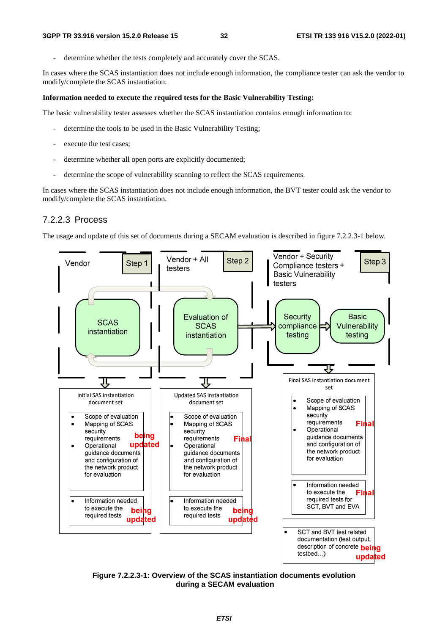determine whether the tests completely and accurately cover the SCAS.

In cases where the SCAS instantiation does not include enough information, the compliance tester can ask the vendor to modify/complete the SCAS instantiation.

#### **Information needed to execute the required tests for the Basic Vulnerability Testing:**

The basic vulnerability tester assesses whether the SCAS instantiation contains enough information to:

- determine the tools to be used in the Basic Vulnerability Testing;
- execute the test cases;
- determine whether all open ports are explicitly documented;
- determine the scope of vulnerability scanning to reflect the SCAS requirements.

In cases where the SCAS instantiation does not include enough information, the BVT tester could ask the vendor to modify/complete the SCAS instantiation.

#### 7.2.2.3 Process

The usage and update of this set of documents during a SECAM evaluation is described in figure 7.2.2.3-1 below.



**Figure 7.2.2.3-1: Overview of the SCAS instantiation documents evolution during a SECAM evaluation**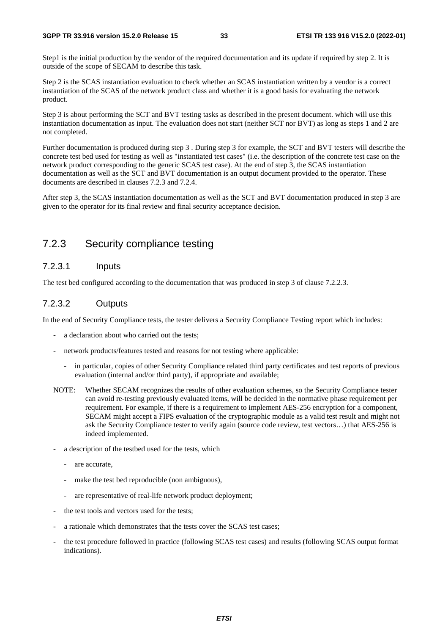Step1 is the initial production by the vendor of the required documentation and its update if required by step 2. It is outside of the scope of SECAM to describe this task.

Step 2 is the SCAS instantiation evaluation to check whether an SCAS instantiation written by a vendor is a correct instantiation of the SCAS of the network product class and whether it is a good basis for evaluating the network product.

Step 3 is about performing the SCT and BVT testing tasks as described in the present document. which will use this instantiation documentation as input. The evaluation does not start (neither SCT nor BVT) as long as steps 1 and 2 are not completed.

Further documentation is produced during step 3 . During step 3 for example, the SCT and BVT testers will describe the concrete test bed used for testing as well as "instantiated test cases" (i.e. the description of the concrete test case on the network product corresponding to the generic SCAS test case). At the end of step 3, the SCAS instantiation documentation as well as the SCT and BVT documentation is an output document provided to the operator. These documents are described in clauses 7.2.3 and 7.2.4.

After step 3, the SCAS instantiation documentation as well as the SCT and BVT documentation produced in step 3 are given to the operator for its final review and final security acceptance decision.

### 7.2.3 Security compliance testing

#### 7.2.3.1 Inputs

The test bed configured according to the documentation that was produced in step 3 of clause 7.2.2.3.

#### 7.2.3.2 Outputs

In the end of Security Compliance tests, the tester delivers a Security Compliance Testing report which includes:

- a declaration about who carried out the tests:
- network products/features tested and reasons for not testing where applicable:
	- in particular, copies of other Security Compliance related third party certificates and test reports of previous evaluation (internal and/or third party), if appropriate and available;
- NOTE: Whether SECAM recognizes the results of other evaluation schemes, so the Security Compliance tester can avoid re-testing previously evaluated items, will be decided in the normative phase requirement per requirement. For example, if there is a requirement to implement AES-256 encryption for a component, SECAM might accept a FIPS evaluation of the cryptographic module as a valid test result and might not ask the Security Compliance tester to verify again (source code review, test vectors…) that AES-256 is indeed implemented.
- a description of the testbed used for the tests, which
	- are accurate,
	- make the test bed reproducible (non ambiguous),
	- are representative of real-life network product deployment:
- the test tools and vectors used for the tests;
- a rationale which demonstrates that the tests cover the SCAS test cases;
- the test procedure followed in practice (following SCAS test cases) and results (following SCAS output format indications).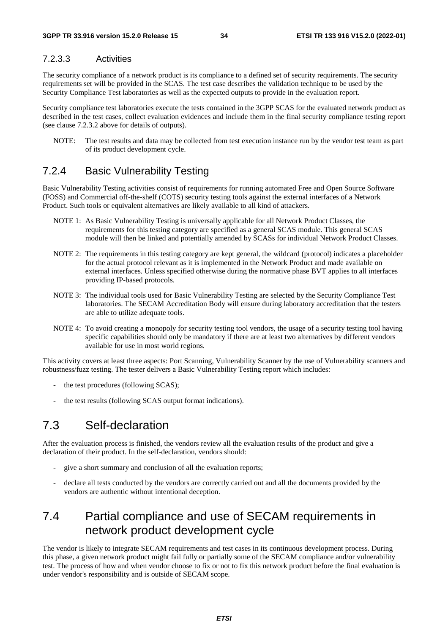### 7.2.3.3 Activities

The security compliance of a network product is its compliance to a defined set of security requirements. The security requirements set will be provided in the SCAS. The test case describes the validation technique to be used by the Security Compliance Test laboratories as well as the expected outputs to provide in the evaluation report.

Security compliance test laboratories execute the tests contained in the 3GPP SCAS for the evaluated network product as described in the test cases, collect evaluation evidences and include them in the final security compliance testing report (see clause 7.2.3.2 above for details of outputs).

NOTE: The test results and data may be collected from test execution instance run by the vendor test team as part of its product development cycle.

# 7.2.4 Basic Vulnerability Testing

Basic Vulnerability Testing activities consist of requirements for running automated Free and Open Source Software (FOSS) and Commercial off-the-shelf (COTS) security testing tools against the external interfaces of a Network Product. Such tools or equivalent alternatives are likely available to all kind of attackers.

- NOTE 1: As Basic Vulnerability Testing is universally applicable for all Network Product Classes, the requirements for this testing category are specified as a general SCAS module. This general SCAS module will then be linked and potentially amended by SCASs for individual Network Product Classes.
- NOTE 2: The requirements in this testing category are kept general, the wildcard (protocol) indicates a placeholder for the actual protocol relevant as it is implemented in the Network Product and made available on external interfaces. Unless specified otherwise during the normative phase BVT applies to all interfaces providing IP-based protocols.
- NOTE 3: The individual tools used for Basic Vulnerability Testing are selected by the Security Compliance Test laboratories. The SECAM Accreditation Body will ensure during laboratory accreditation that the testers are able to utilize adequate tools.
- NOTE 4: To avoid creating a monopoly for security testing tool vendors, the usage of a security testing tool having specific capabilities should only be mandatory if there are at least two alternatives by different vendors available for use in most world regions.

This activity covers at least three aspects: Port Scanning, Vulnerability Scanner by the use of Vulnerability scanners and robustness/fuzz testing. The tester delivers a Basic Vulnerability Testing report which includes:

- the test procedures (following SCAS);
- the test results (following SCAS output format indications).

# 7.3 Self-declaration

After the evaluation process is finished, the vendors review all the evaluation results of the product and give a declaration of their product. In the self-declaration, vendors should:

- give a short summary and conclusion of all the evaluation reports;
- declare all tests conducted by the vendors are correctly carried out and all the documents provided by the vendors are authentic without intentional deception.

# 7.4 Partial compliance and use of SECAM requirements in network product development cycle

The vendor is likely to integrate SECAM requirements and test cases in its continuous development process. During this phase, a given network product might fail fully or partially some of the SECAM compliance and/or vulnerability test. The process of how and when vendor choose to fix or not to fix this network product before the final evaluation is under vendor's responsibility and is outside of SECAM scope.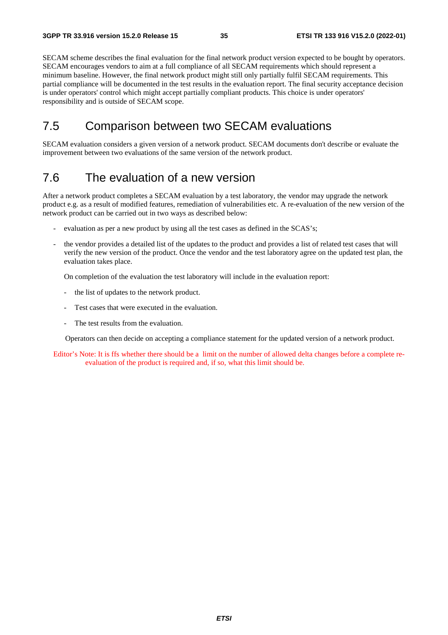SECAM scheme describes the final evaluation for the final network product version expected to be bought by operators. SECAM encourages vendors to aim at a full compliance of all SECAM requirements which should represent a minimum baseline. However, the final network product might still only partially fulfil SECAM requirements. This partial compliance will be documented in the test results in the evaluation report. The final security acceptance decision is under operators' control which might accept partially compliant products. This choice is under operators' responsibility and is outside of SECAM scope.

# 7.5 Comparison between two SECAM evaluations

SECAM evaluation considers a given version of a network product. SECAM documents don't describe or evaluate the improvement between two evaluations of the same version of the network product.

# 7.6 The evaluation of a new version

After a network product completes a SECAM evaluation by a test laboratory, the vendor may upgrade the network product e.g. as a result of modified features, remediation of vulnerabilities etc. A re-evaluation of the new version of the network product can be carried out in two ways as described below:

- evaluation as per a new product by using all the test cases as defined in the SCAS's;
- the vendor provides a detailed list of the updates to the product and provides a list of related test cases that will verify the new version of the product. Once the vendor and the test laboratory agree on the updated test plan, the evaluation takes place.

On completion of the evaluation the test laboratory will include in the evaluation report:

- the list of updates to the network product.
- Test cases that were executed in the evaluation.
- The test results from the evaluation.

Operators can then decide on accepting a compliance statement for the updated version of a network product.

Editor's Note: It is ffs whether there should be a limit on the number of allowed delta changes before a complete reevaluation of the product is required and, if so, what this limit should be.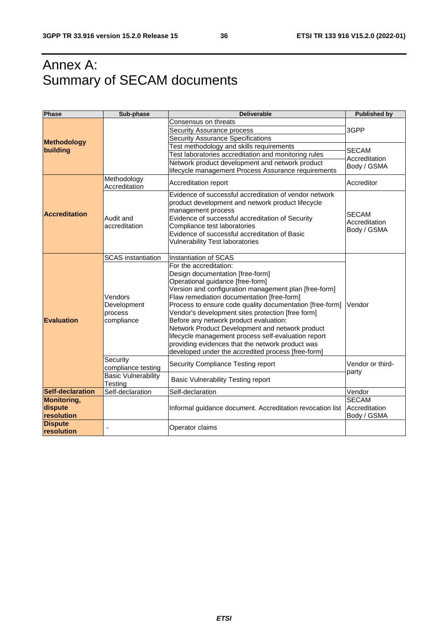# Annex A: Summary of SECAM documents

| <b>Phase</b>                                | Sub-phase                                                    | <b>Deliverable</b>                                                                                                                                                                                                                                                                                                                                                                                                                                                                                                                                                                   | <b>Published by</b>                          |
|---------------------------------------------|--------------------------------------------------------------|--------------------------------------------------------------------------------------------------------------------------------------------------------------------------------------------------------------------------------------------------------------------------------------------------------------------------------------------------------------------------------------------------------------------------------------------------------------------------------------------------------------------------------------------------------------------------------------|----------------------------------------------|
|                                             |                                                              | Consensus on threats                                                                                                                                                                                                                                                                                                                                                                                                                                                                                                                                                                 |                                              |
|                                             |                                                              | Security Assurance process                                                                                                                                                                                                                                                                                                                                                                                                                                                                                                                                                           | 3GPP                                         |
| <b>Methodology</b>                          |                                                              | <b>Security Assurance Specifications</b>                                                                                                                                                                                                                                                                                                                                                                                                                                                                                                                                             |                                              |
| building                                    |                                                              | Test methodology and skills requirements                                                                                                                                                                                                                                                                                                                                                                                                                                                                                                                                             | <b>SECAM</b>                                 |
|                                             |                                                              | Test laboratories accreditation and monitoring rules                                                                                                                                                                                                                                                                                                                                                                                                                                                                                                                                 | Accreditation                                |
|                                             |                                                              | Network product development and network product                                                                                                                                                                                                                                                                                                                                                                                                                                                                                                                                      | Body / GSMA                                  |
|                                             |                                                              | lifecycle management Process Assurance requirements                                                                                                                                                                                                                                                                                                                                                                                                                                                                                                                                  |                                              |
|                                             | Methodology<br>Accreditation                                 | Accreditation report                                                                                                                                                                                                                                                                                                                                                                                                                                                                                                                                                                 | Accreditor                                   |
| <b>Accreditation</b>                        | Audit and<br>accreditation                                   | Evidence of successful accreditation of vendor network<br>product development and network product lifecycle<br>management process<br>Evidence of successful accreditation of Security<br>Compliance test laboratories<br>Evidence of successful accreditation of Basic<br><b>Vulnerability Test laboratories</b>                                                                                                                                                                                                                                                                     | <b>SECAM</b><br>Accreditation<br>Body / GSMA |
|                                             | <b>SCAS</b> instantiation                                    | Instantiation of SCAS                                                                                                                                                                                                                                                                                                                                                                                                                                                                                                                                                                |                                              |
| Evaluation                                  | Vendors<br>Development<br>process<br>compliance              | For the accreditation:<br>Design documentation [free-form]<br>Operational guidance [free-form]<br>Version and configuration management plan [free-form]<br>Flaw remediation documentation [free-form]<br>Process to ensure code quality documentation [free-form]<br>Vendor's development sites protection [free form]<br>Before any network product evaluation:<br>Network Product Development and network product<br>lifecycle management process self-evaluation report<br>providing evidences that the network product was<br>developed under the accredited process [free-form] | Vendor                                       |
|                                             | Security<br>compliance testing<br><b>Basic Vulnerability</b> | Security Compliance Testing report<br>Basic Vulnerability Testing report                                                                                                                                                                                                                                                                                                                                                                                                                                                                                                             | Vendor or third-<br>party                    |
|                                             | Testing                                                      |                                                                                                                                                                                                                                                                                                                                                                                                                                                                                                                                                                                      |                                              |
| <b>Self-declaration</b>                     | Self-declaration                                             | Self-declaration                                                                                                                                                                                                                                                                                                                                                                                                                                                                                                                                                                     | Vendor                                       |
| <b>Monitoring,</b><br>dispute<br>resolution |                                                              | Informal guidance document. Accreditation revocation list                                                                                                                                                                                                                                                                                                                                                                                                                                                                                                                            | <b>SECAM</b><br>Accreditation<br>Body / GSMA |
| <b>Dispute</b><br>resolution                |                                                              | Operator claims                                                                                                                                                                                                                                                                                                                                                                                                                                                                                                                                                                      |                                              |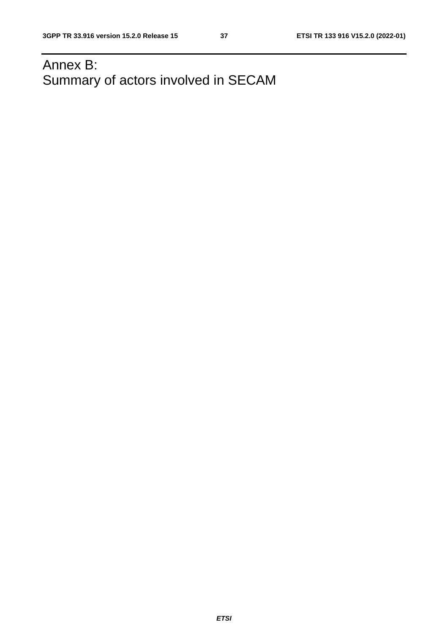# Annex B: Summary of actors involved in SECAM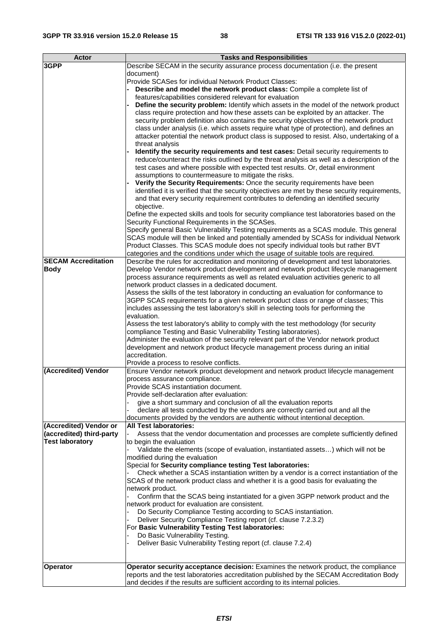| <b>Actor</b>               | <b>Tasks and Responsibilities</b>                                                              |
|----------------------------|------------------------------------------------------------------------------------------------|
| 3GPP                       | Describe SECAM in the security assurance process documentation (i.e. the present               |
|                            |                                                                                                |
|                            | document)                                                                                      |
|                            | Provide SCASes for individual Network Product Classes:                                         |
|                            | Describe and model the network product class: Compile a complete list of                       |
|                            | features/capabilities considered relevant for evaluation                                       |
|                            | Define the security problem: Identify which assets in the model of the network product         |
|                            | class require protection and how these assets can be exploited by an attacker. The             |
|                            | security problem definition also contains the security objectives of the network product       |
|                            | class under analysis (i.e. which assets require what type of protection), and defines an       |
|                            | attacker potential the network product class is supposed to resist. Also, undertaking of a     |
|                            | threat analysis                                                                                |
|                            | Identify the security requirements and test cases: Detail security requirements to             |
|                            |                                                                                                |
|                            | reduce/counteract the risks outlined by the threat analysis as well as a description of the    |
|                            | test cases and where possible with expected test results. Or, detail environment               |
|                            | assumptions to countermeasure to mitigate the risks.                                           |
|                            | Verify the Security Requirements: Once the security requirements have been                     |
|                            | identified it is verified that the security objectives are met by these security requirements, |
|                            | and that every security requirement contributes to defending an identified security            |
|                            | objective.                                                                                     |
|                            | Define the expected skills and tools for security compliance test laboratories based on the    |
|                            | Security Functional Requirements in the SCASes.                                                |
|                            | Specify general Basic Vulnerability Testing requirements as a SCAS module. This general        |
|                            |                                                                                                |
|                            | SCAS module will then be linked and potentially amended by SCASs for individual Network        |
|                            | Product Classes. This SCAS module does not specify individual tools but rather BVT             |
|                            | categories and the conditions under which the usage of suitable tools are required.            |
| <b>SECAM Accreditation</b> | Describe the rules for accreditation and monitoring of development and test laboratories.      |
| <b>Body</b>                | Develop Vendor network product development and network product lifecycle management            |
|                            | process assurance requirements as well as related evaluation activities generic to all         |
|                            | network product classes in a dedicated document.                                               |
|                            | Assess the skills of the test laboratory in conducting an evaluation for conformance to        |
|                            | 3GPP SCAS requirements for a given network product class or range of classes; This             |
|                            | includes assessing the test laboratory's skill in selecting tools for performing the           |
|                            | evaluation.                                                                                    |
|                            | Assess the test laboratory's ability to comply with the test methodology (for security         |
|                            | compliance Testing and Basic Vulnerability Testing laboratories).                              |
|                            |                                                                                                |
|                            | Administer the evaluation of the security relevant part of the Vendor network product          |
|                            | development and network product lifecycle management process during an initial                 |
|                            | accreditation.                                                                                 |
|                            | Provide a process to resolve conflicts.                                                        |
| (Accredited) Vendor        | Ensure Vendor network product development and network product lifecycle management             |
|                            | process assurance compliance.                                                                  |
|                            | Provide SCAS instantiation document.                                                           |
|                            | Provide self-declaration after evaluation:                                                     |
|                            | give a short summary and conclusion of all the evaluation reports                              |
|                            | declare all tests conducted by the vendors are correctly carried out and all the               |
|                            | documents provided by the vendors are authentic without intentional deception.                 |
| (Accredited) Vendor or     | <b>All Test laboratories:</b>                                                                  |
| (accredited) third-party   | Assess that the vendor documentation and processes are complete sufficiently defined           |
| <b>Test laboratory</b>     |                                                                                                |
|                            | to begin the evaluation                                                                        |
|                            | Validate the elements (scope of evaluation, instantiated assets) which will not be             |
|                            | modified during the evaluation                                                                 |
|                            | Special for Security compliance testing Test laboratories:                                     |
|                            | Check whether a SCAS instantiation written by a vendor is a correct instantiation of the       |
|                            | SCAS of the network product class and whether it is a good basis for evaluating the            |
|                            | network product.                                                                               |
|                            | Confirm that the SCAS being instantiated for a given 3GPP network product and the              |
|                            | network product for evaluation are consistent.                                                 |
|                            | Do Security Compliance Testing according to SCAS instantiation.                                |
|                            | Deliver Security Compliance Testing report (cf. clause 7.2.3.2)                                |
|                            | For Basic Vulnerability Testing Test laboratories:                                             |
|                            | Do Basic Vulnerability Testing.                                                                |
|                            |                                                                                                |
|                            | Deliver Basic Vulnerability Testing report (cf. clause 7.2.4)                                  |
|                            |                                                                                                |
| <b>Operator</b>            | Operator security acceptance decision: Examines the network product, the compliance            |
|                            | reports and the test laboratories accreditation published by the SECAM Accreditation Body      |
|                            | and decides if the results are sufficient according to its internal policies.                  |
|                            |                                                                                                |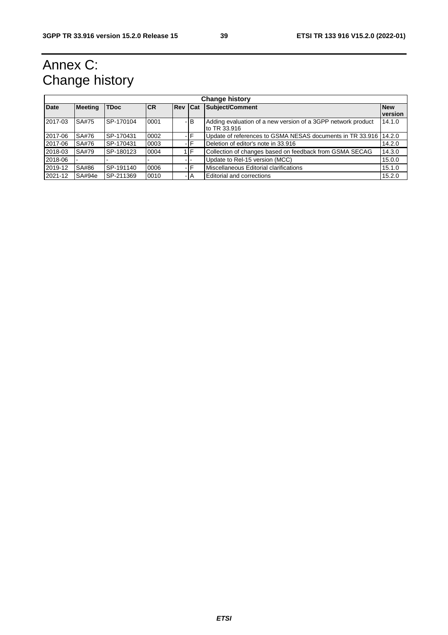# Annex C: Change history

| <b>Change history</b> |                |             |           |                |       |                                                                              |                       |
|-----------------------|----------------|-------------|-----------|----------------|-------|------------------------------------------------------------------------------|-----------------------|
| <b>Date</b>           | <b>Meeting</b> | <b>TDoc</b> | <b>CR</b> | <b>Rev Cat</b> |       | Subject/Comment                                                              | <b>New</b><br>version |
| 2017-03               | SA#75          | SP-170104   | 0001      |                | -IB   | Adding evaluation of a new version of a 3GPP network product<br>to TR 33.916 | 14.1.0                |
| 2017-06               | SA#76          | SP-170431   | 0002      |                | -IF   | Update of references to GSMA NESAS documents in TR 33.916 14.2.0             |                       |
| 2017-06               | SA#76          | SP-170431   | 0003      |                | -IF   | Deletion of editor's note in 33.916                                          | 14.2.0                |
| 2018-03               | SA#79          | SP-180123   | 0004      |                | IF    | Collection of changes based on feedback from GSMA SECAG                      | 14.3.0                |
| 2018-06               |                |             |           |                |       | Update to Rel-15 version (MCC)                                               | 15.0.0                |
| 2019-12               | SA#86          | SP-191140   | 0006      |                | -IF   | Miscellaneous Editorial clarifications                                       | 15.1.0                |
| 2021-12               | SA#94e         | SP-211369   | 0010      |                | - I A | <b>Editorial and corrections</b>                                             | 15.2.0                |